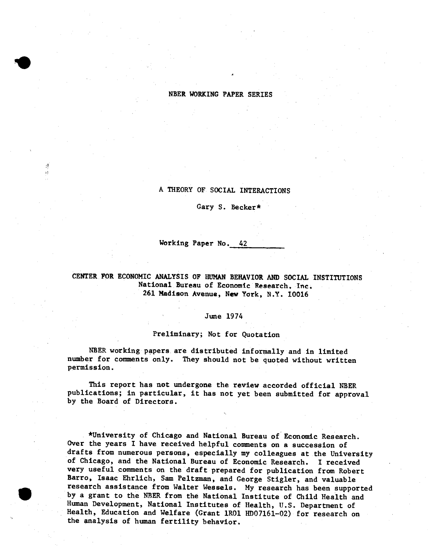NBER WORKING PAPER SERIES

A THEORY OF SOCIAL INTERACTIONS

Gary S. Becker\*

Working Paper No. 42

 $\mathbf{H}$ 

CENTER FOR ECONOMIC ANALYSIS OF HUMAN BEHAVIOR AND SOCIAL INSTITUTIONS National Bureau of Economic Research. Inc. 261 Madison Avenue, New York, N.Y. 10016

June 1974

Preliminary; Not for Quotation

NBER working papers. are distributed informally and in limited number for comments only. They should not be quoted without written permission.

This report has not undergone the review accorded official NBER publications; in particular, it has not yet been submitted for approval by the Board of Directors.

\*Unjversjty of Chicago and National Bureau of Economic Research. Over the years I have received helpful comments on a succession of drafts from numerous persons, especially my colleagues at the University of Chicago, and the National Bureau of Economic Research. I received very useful comments on the draft prepared for publication from Robert Barro, Isaac Ehrlich, Sam Peltzman, and George Stigler, and valuable research assistance from Walter We8sels. My research has been supported by a grant to the NBER from the National Institute of Child Health and Human Development, National Institutes of Health, U.S. Department of Health, Education and Welfare (Grant lROl HD07161—02) for research on the analysis of human fertility behavior.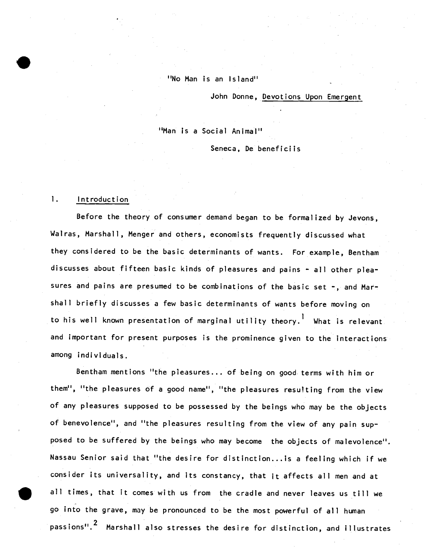#### "No Man is an Island"

John Donne, Devotions Upon Emergent

"Man Is a Social Animal"

Seneca, De beneficiis

#### I. Introduction

Before the theory of consumer demand began to be formalized by Jevons, Wairas, Marshall, Menger and others, economists frequently discussed what they considered to be the basic determinants of wants. For example, Bentham discusses about fifteen basic kinds of pleasures and pains — all other pleasures and pains are presumed to be combinations of the basic set  $-$ , and Marshall briefly discusses a few basic determinants of wants before moving on to his well known presentation of marginal utility theory.<sup>1</sup> What is relevant and important for present purposes is the prominence given to the interactions among individuals.

Bentham mentions "the pleasures... of being on good. terms with him or them", "the pleasures of a good name", "the pleasures resu!ting from the view of any pleasures supposed to be possessed by the beings who may be the objects of benevolence", and "the pleasures resulting from the view of any pain supposed to be suffered by the beings who may become the objects of malevolence". Nassau Senior said that "the desire for distinction...is a feeling which if we consider its universality, and its constancy, that it affects all men and at all times, that it comes with us from the cradle and never leaves us till we go into the grave, may be pronounced to be the most powerful of all human passions".<sup>2</sup> Marshall also stresses the desire for distinction, and illustrates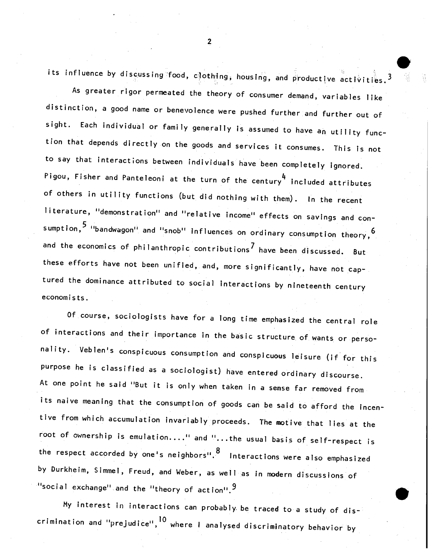its influence by discussing food, clothing, housing, and productive activities.<sup>3</sup>

As greater rigor permeated the theory of Consumer demand, variables like distinction, a good name or benevolence were pushed further and further out of sight. Each individual or family generally is assumed to have an utility function that depends directly on the goods and services it consumes. This is not to say that interactions between individuals have been completely ignored. Pigou, Fisher and Panteleoni at the turn of the century  $4$  included attributes of others in utility functions (but did nothing with them). In the recent literature, "demonstration" and "relative income" effects on savings and consumption, $^5$  "bandwagon" and "snob" influences on ordinary consumption theory, $^6$ and the economics of philanthropic contributions<sup>7</sup> have been discussed. But these efforts have not been unified, and, more significantly, have not captured the dominance attributed to social interactions by nineteenth century economists.

Of course, sociologists have for a long time emphasized the central role of interactions and their importance in the basic structure of wants or personality. Veblen's conspicuous consumption and conspicuous leisure (if for this purpose he is classified as a sociologist) have entered ordinary discourse. At one point he said "But it is only when taken in a sense far removed from its naive meaning that the consumption of goods can be said to afford the incentive from which accumulation invariably proceeds. The motive that lies at the root of ownership is emulation...." and "...the usual basis of self-respect is the respect accorded by one's neighbors".<sup>8</sup> Interactions were also emphasized by Durkheim, Simmel, Freud, and Weber, as well as in modern discussions of "social exchange" and the "theory of action".<sup>9</sup>

My interest in interactions can probably. be traced to a study of discrimination and "prejudice",1° where I analysed discriminatory behavior by

2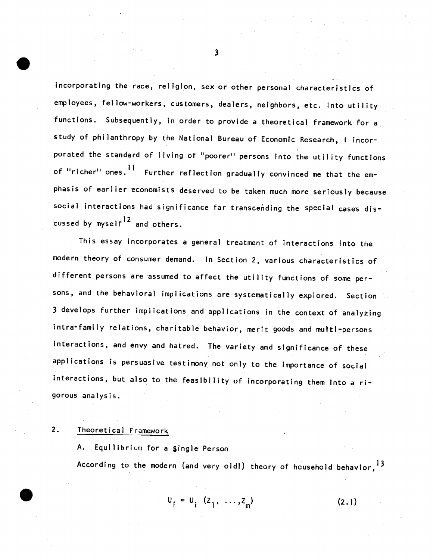incorporating the race, religion, sex or other personal characteristics of employees, fellow-workers, customers, dealers, neighbors, etc. into utility functions. Subsequently, in order to provide a theoretical framework for a study of philanthropy by the National Bureau of Economic Research, I incorporated the standard of living of "poorer" persons into the utility functions of "richer" ones.<sup>11</sup> Further reflection gradually convinced me that the emphasis of earlier economists deserved to be taken much more seriously because social interactions had significance far transcending the special cases discussed by myself<sup>12</sup> and others.

3

This essay incorporates a general treatment of interactions into the modern theory of consumer demand. In Section 2, various characteristics of different persons are assumed to affect the utility functions of some persons, and the behavioral implications are systematically explored. Section 3 develops further implications and applications in the context of analyzing intra-family relations, charitable behavior, merit goods and multi—persons interactions, and envy and hatred. The variety and significance of these applications is persuasive testimony not only to the importance of social interactions, but also to the feasibility of incorporating them into a rigorous analysis.

## 2. Theoretical Framework

A. Equilibrium for a Single Person

According to the modern (and very old!) theory of household behavior.<sup>13</sup>

 $U_i = U_i (Z_1, ..., Z_m)$  (2.1)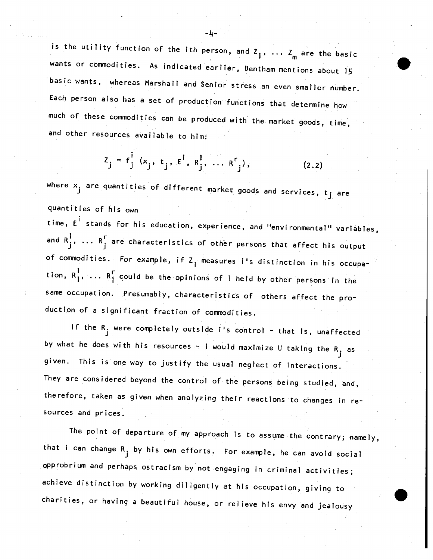is the utility function of the ith person, and  $Z_1$ , ...  $Z_m$  are the basic wants or commodities. As indicated earlier, Bentham mentions about 15 basic wants, whereas Marshall and Senior stress an even smaller number. Each person also has a set of production functions that determine how much of these commodities can be produced with' the market goods, time, and other resources available to him:

$$
Z_j = f_j^j(x_j, t_j, \varepsilon^j, R_j^1, ..., R_{j}^r),
$$
 (2.2)

where  $x_j$  are quantities of different market goods and services,  $t_j$  are quantities of his own

time, E<sup>I</sup> stands for his education, experience, and "environmental" variables, and  $R_j^l$ , ...  $R_j^r$  are characteristics of other persons that affect his output of commodities. For example, if  $z_1$  measures i's distinction in his occupation,  $R_1^{\dagger}$ , ...  $R_1^{\dagger}$  could be the opinions of I held by other persons in the same occupation. Presumably, characteristics of others affect the production of a significant fraction of commodities.

If the  $R_i$  were completely outside i's control - that is, unaffected by what he does with his resources - i would maximize U taking the  $R_1$  as given. This is one way to justify the usual neglect of interactions. They are considered beyond the control of the persons being studied, and, therefore, taken as given when analyzing their reactions to changes in resources and prices.

The point of departure of my approach is to assume the contrary; namely, that i can change  $R_i$  by his own efforts. For example, he can avoid social opprobrium and perhaps ostracism by not engaging in criminal activities; achieve distinction by working diligently at his occupation, giving to charities, or having a beautiful house, or relieve his envy and jealousy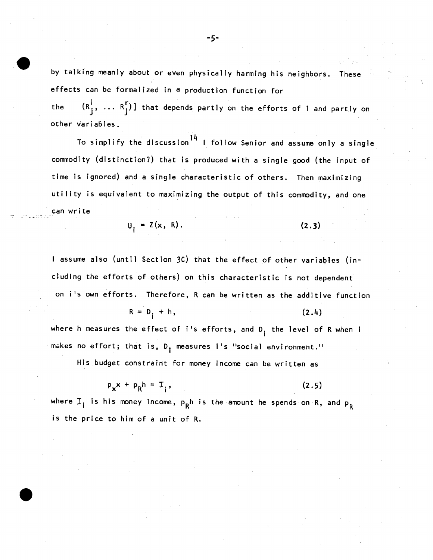by talking meanly about or even physically harming his neighbors. These effects can be formalized in a production function for

the  $(R_i^1, \ldots R_i^r)$ ] that depends partly on the efforts of i and partly on other variables.

To simplify the discussion<sup>14</sup> I follow Senior and assume only a single commodity (distinction?) that is produced with a single good (the input of time is ignored) and a single characteristic of others. Then maximizing utility is equivalent to maximizing the output of this commodity, and one can write

$$
U_1 = Z(x, R). \t\t(2.3)
$$

I assume also (until Section 3C) that the effect of other variables (including the efforts of others) on this characteristic is not dependent on i's own efforts. Therefore, R can be written as the additive function

 $R = D_1 + h,$  (2.4) where h measures the effect of i's efforts, and  $D_i$  the level of R when i makes no effort; that is, D<sub>;</sub> measures i's "social environment."

His budget constraint for money income can be written as

$$
P_{x}x + P_{R}h = I_{1}, \qquad (2.5)
$$

where  $I_i$  is his money income,  $p_R$ h is the amount he spends on R, and  $p_R$ is the price to him of a unit of R.

 $\bullet$  such a set  $\bullet$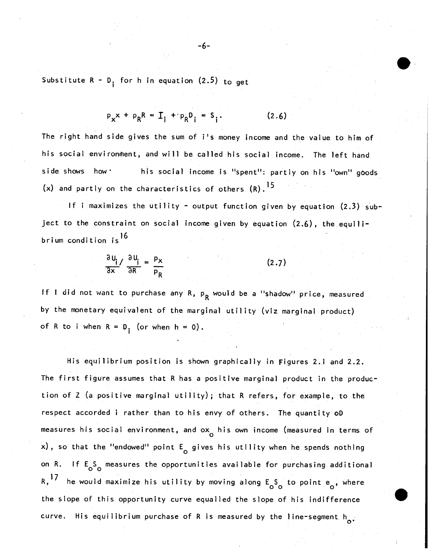Substitute R - D<sub>j</sub> for h in equation (2.5) to get

$$
p_{x}x + p_{R}R = I_{i} + p_{R}D_{i} = S_{i}.
$$
 (2.6)

The right hand side gives the sum of i's money income and the value to him of his social environment, and will be called his social income. The left hand side shows how his social income is "spent": partly on his "own" goods (x) and partly on the characteristics of others  $(R)$ .<sup>15</sup>

If i maximizes the utility - output function given by equation  $(2.3)$  subject to the constraint on social income given by equation (2.6), the equilibrium condition is<sup>16</sup>

$$
\frac{\partial u_i}{\partial x} / \frac{\partial u_i}{\partial R} = \frac{p_x}{p_B}
$$
 (2.7)

If I did not want to purchase any  $R$ ,  $p_R$  would be a "shadow" price, measured by the monetary equivalent of the marginal utility (viz marginal product) of R to i when  $R = D_i$  (or when  $h = 0$ ).

His equilibrium position is shown graphically in Figures 2.1 and 2.2. The first figure assumes that R has a positive marginal product in the production of Z (a positive marginal utility); that R refers, for example, to the respect accorded i rather than to his envy of others. The quantity oD measures his social environment, and  $\alpha_{\alpha}$  his own income (measured in terms of  $x)$ , so that the "endowed" point  $E_{\alpha}$  gives his utility when he spends nothing on R. If  $E_0S_0$  measures the opportunities available for purchasing additional R,<sup>17</sup> he would maximize his utility by moving along  $E_0S_0$  to point  $e_0$ , where the slope of this opportunity curve equalled the slope of his indifference curve. His equilibrium purchase of R is measured by the line-segment  $h_{\alpha}$ .

-6-

.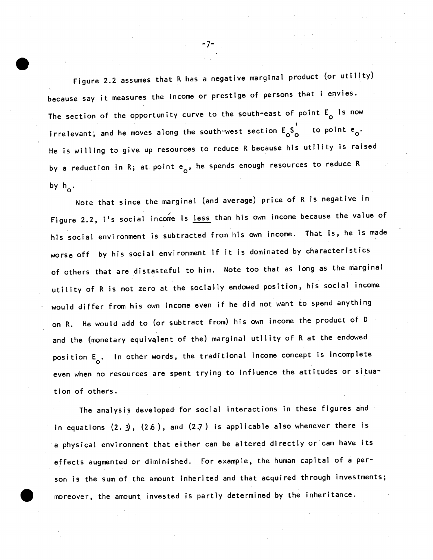Figure 2.2 assumes that R has a negative marginal product (or utility) because say it measures the income or prestige of persons that i envies. The section of the opportunity curve to the south-east of point  $E^{\text{}}_{\text{O}}$  is now irrelevant, and he moves along the south-west section  $E_\mathrm{O}^{\phantom{\dagger}}\mathrm{s}^\dagger_\mathrm{O}$  to point  $\mathrm{e}_\mathrm{O}^{\phantom{\dagger}}\cdot$ He is willing to give up resources to reduce R because his utility is raised by a reduction in R; at point  $e_{\alpha}$ , he spends enough resources to reduce R by  $h_{\alpha}$ .

Note that since the marginal (and average) price of R is negative in Figure 2.2, i's social income is less than his own income because the value of his social environment is subtracted from his own income. That is, he is made worse off by his social environment if it is dominated by characteristics of others that are distasteful to him. Note too that as long as the marginal utility of R is not zero at the socially endowed position, his social income would differ from his own income even if he did not want to spend anything on R. He would add to (or subtract from) his own income the product of D and the (monetary equivalent of the) marginal utility of R at the endowed position  $E_0$ . In other words, the traditional income concept is incomplete even when no resources are spent trying to influence the attitudes or situa tion of others.

The analysis developed for social interactions in these figures and in equations  $(2. 3)$ ,  $(2.6)$ , and  $(2.7)$  is applicable also whenever there is a physical environment that either can be altered directly or can have its effects augmented or diminished. For example, the human capital of a per son is the sum of the amount inherited and that acquired through investments; moreover, the amount invested is partly determined by the inheritance.

-7-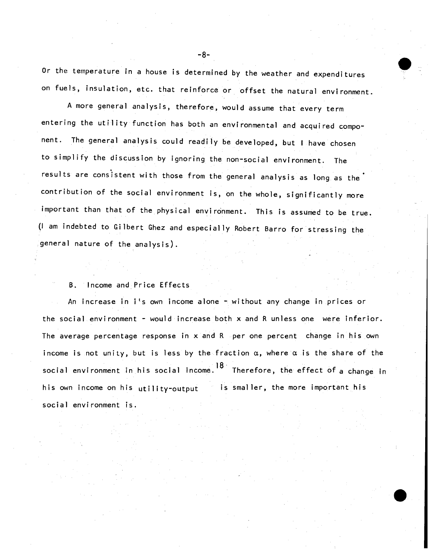Or the temperature in a house is determined by the weather and expenditures on fuels, insulation, etc. that reinforce or offset the natural environment.

A more general analysis, therefore, would assume that every term entering the utility function has both an environmental and acquired component. The general analysis could readily be developed, but I have chosen to simplify the discussion by ignoring the non-social environment. The results are consistent with those from the general analysis as long as the contribution of the social environment is, on the whole, significantly more important than that of the physical environment. This is assumed to be true. (I am indebted to Gilbert Ghez and especially Robert Barro for stressing the general nature of the analysis).

B. Income and Price Effects

An increase in i's own income alone - without any change in prices or the social environment - would increase both x and R unless one were inferior. The average percentage response in x and R per one percent change in his own income is not unity, but is less by the fraction  $\alpha$ , where  $\alpha$  is the share of the social environment in his social income.<sup>18</sup> Therefore, the effect of a change in his own income on his utility-output is smaller, the more important his social environment is.

-8-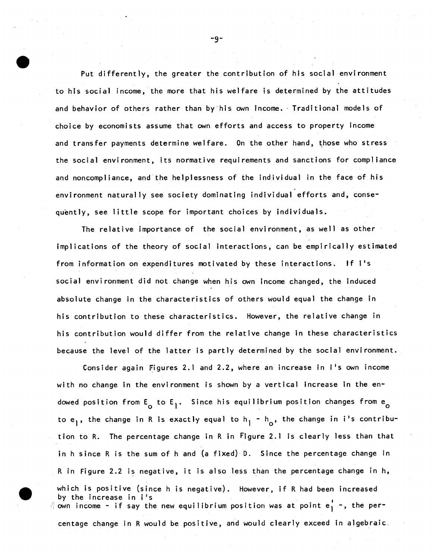Put differently, the greater the contribution of his social environment to his social income, the more that his welfare is determined by the attitudes and behavior of others rather than by his own income. Traditional models of choice by economists assume that own efforts and access to property income and transfer payments determine welfare. On the other hand, those who stress the social environment, its normative requirements and sanctions for compliance and noncompliance, and the helplessness of the individual in the face of his environment naturally see society dominating individual efforts and, consequently, see little scope for important choices by individuals.

The relative importance of the social environment, as well as other implications of the theory of social interactions, can be empirically estimated from information on expenditures motivated by these interactions. f i's social environment did not change when his own income changed, the induced absolute change in the characteristics of others would equal the change in his contribution to these characteristics. However, the relative change in his contribution would differ from the relative change in these characteristics because the level of the latter is partly determined by the social environment.

Consider again Figures 2.1 and 2.2, where an increase in i's own income with no change in the environment is shown by a vertical increase in the endowed position from  $E_{0}$  to  $E_{1}$ . Since his equilibrium position changes from e<sub>0</sub> to e<sub>1</sub>, the change in R is exactly equal to h<sub>1</sub> - h<sub>0</sub>, the change in i's contribution to R. The percentage change in R in Figure 2.1 is clearly less than that in h since R is the sum of h and (a fixed)  $D$ . Since the percentage change in R in Figure 2.2 is negative, it is also less than the percentage change in h, which is positive (since h is negative). However, if R had been increased by the increase in i's  $4\sigma$  own income - if say the new equilibrium position was at point  ${\bf e_{1}^{\prime}}$  -, the percentage change in R would be positive, and would clearly exceed in algebraic.

-9-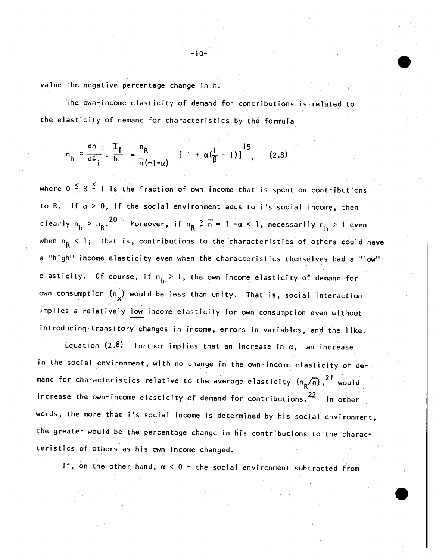value the negative percentage change in h.

The own-income elasticity of demand for contributions is related to the elasticity of demand for characteristics by the formula

$$
n_{h} \equiv \frac{dh}{d\mathcal{I}_{i}} \cdot \frac{\mathcal{I}_{i}}{h} = \frac{n_{R}}{n(-1-\alpha)} [1 + \alpha(\frac{1}{\beta} - 1)]^{19}, \quad (2.8)
$$

where  $0 \leq \beta \leq 1$  is the fraction of own income that is spent on contributions to R. If  $\alpha > 0$ , if the social environment adds to i's social income, then clearly  $n_h > n_R$ .<sup>20</sup> Moreover, if  $n_R \ge \overline{n} = 1 - \alpha < 1$ , necessarily  $n_h > 1$  even when  $n_R < 1$ ; that is, contributions to the characteristics of others could have a "high" income elasticity even when the characteristics themselves had a "low" elasticity. Of course, if  $n_h > 1$ , the own income elasticity of demand for own consumption  $(n_x)$  would be less than unity. That is, social interaction implies a relatively low income elasticity for own consumption even without introducing transitory changes in income, errors in variables, and the like.

Equation (2.8) further implies that an increase in  $\alpha$ , an increase in the social environment, with no change in the own-income elasticity of demand for characteristics relative to the average elasticity  $(n_p/\overline{n})$ ,  $2^1$  would increase the own-income elasticity of demand for contributions.22 In other words, the more that i's social Income is determined by his social environment, the greater would be the percentage change in his contributions to the characteristics of others as his own income changed.

If, on the other hand,  $\alpha$  < 0 – the social environment subtracted from  $\qquad \qquad \blacksquare$ 

.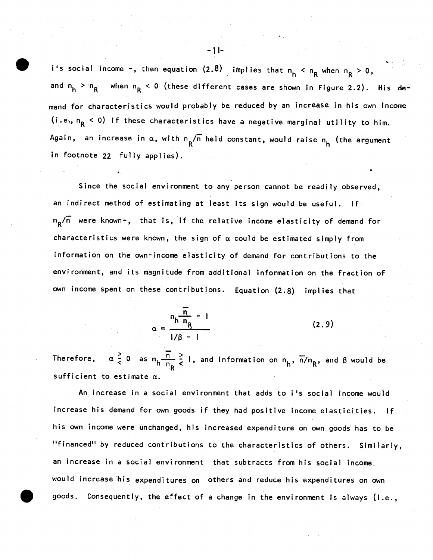i's social income -, then equation (2.8) implies that  $n_h < n_R$  when  $n_R > 0$ , and  $n_h > n_R$  when  $n_R < 0$  (these different cases are shown in Figure 2.2). His demand for characteristics would probably be reduced by an increase in his own income (i.e.,  $n_R < 0$ ) if these characteristics have a negative marginal utility to him. Again, an increase in  $\alpha$ , with  $n_R/\overline{n}$  held constant, would raise  $n_h$  (the argument in footnote 22 fully applies).

Since the social environment to any person cannot be readily observed, an indirect method of estimating at least its sign would be useful. If  $n_R/\overline{n}$  were known-, that is, if the relative income elasticity of demand for characteristics were known, the sign of  $\alpha$  could be estimated simply from information on the own-income elasticity of demand for contributions to the environment, and its magnitude from additional information on the fraction of own income spent on these contributions. Equation (2.8) implies that

$$
\alpha = \frac{n_{h} \frac{n}{n_{h}} - 1}{1/8 - 1}
$$
 (2.9)

Therefore,  $\alpha \ge 0$  as  $n_h \frac{\overline{n}}{n_e} \ge 1$ , and information on  $n_h$ ,  $\overline{n}/n_R$ , and  $\beta$  would be sufficient to estimate  $\alpha$ .

An increase in a social environment that adds to i's social income would increase his demand for own goods if they had positive income elasticities. If his own income were unchanged, his increased expenditure on own goods has to be "financed" by reduced contributions to the characteristics of others. Similarly, an increase in a social environment that subtracts from his social income would increase 'his expenditures on others and reduce his expenditures on own goods. Consequently, the effect of a change in the environment is always (i.e.,

-11-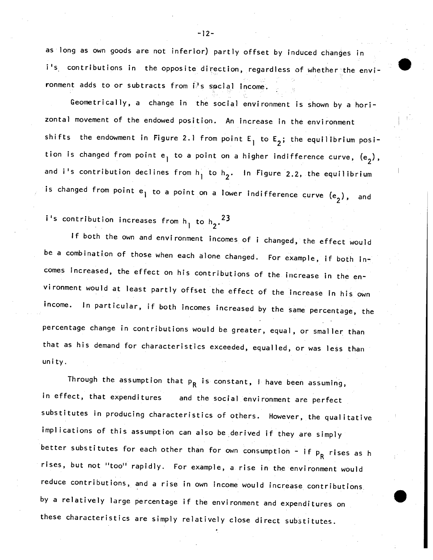as long as own goods are not inferior) partly offset by induced changes in i's contributions in the opposite direction, regardless of whether the environment adds to or subtracts from  $i^3$ s social income.

-

Geometrically, a change in the social environment is shown by a horizontal movement of the endowed position. An increase in the environment shifts the endowment in Figure 2.1 from point  $E_1$  to  $E_2$ ; the equilibrium position is changed from point  $e_1$  to a point on a higher indifference curve,  $(e_2)$ , and i's contribution declines from  $h_1$  to  $h_2$ . In Figure 2.2, the equilibrium is changed from point  $e_1$  to a point on a lower indifference curve  $(e_2)$ , and

 $\frac{1}{3}$  contribution increases from h<sub>1</sub> to h<sub>2</sub>.<sup>23</sup>

If both the own and environment incomes of i changed, the effect would be a combination of those when each alone changed. For example, if both incomes increased, the effect on his contributions of the increase in the environment would at least partly offset the effect of the increase in his own income. In particular, if both incomes increased by the same percentage, the percentage change in contributions would be greater, equal, or smaller than that as his demand for characteristics exceeded, equalled, or was less than unity.

Through the assumption that  $p_R$  is constant, I have been assuming, in effect, that expenditures and the social environment are perfect substitutes in producing characteristics of others. However, the qualitative implications of this assumption can also be derived if they are simply better substitutes for each other than for own consumption – if  $p_R$  rises as h rises, but not "too" rapidly. For example, a rise in the environment would reduce contributions, and a rise in own income would increase contributions by a relatively large percentage if the environment and expenditures on these characteristics are simply relatively close direct substitutes.

—12-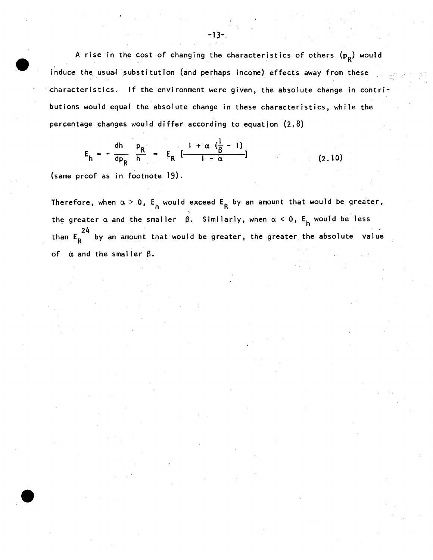A rise in the cost of changing the characteristics of others  $(p_p)$  would induce the usual substitution (and perhaps income) effects away from these characteristics. If the environment were given, the absolute change in contributions would equal the absolute change in these characteristics, while the percentage changes would differ according to equation (2.8)

$$
E_{h} = -\frac{dh}{dp_{R}} \frac{p_{R}}{h} = E_{R} \left[ \frac{1 + \alpha \left( \frac{1}{\beta} - 1 \right)}{1 - \alpha} \right]
$$
 (2.10)

(same proof as in footnote 19).

 $\bullet$  such a set  $\bullet$ 

Therefore, when  $\alpha > 0$ , E<sub>h</sub> would exceed E<sub>R</sub> by an amount that would be greater, the greater  $\alpha$  and the smaller  $\beta$ . Similarly, when  $\alpha < 0$ , E<sub>h</sub> would be less than  $E_R^{24}$  by an amount that would be greater, the greater the absolute value of  $\alpha$  and the smaller  $\beta$ .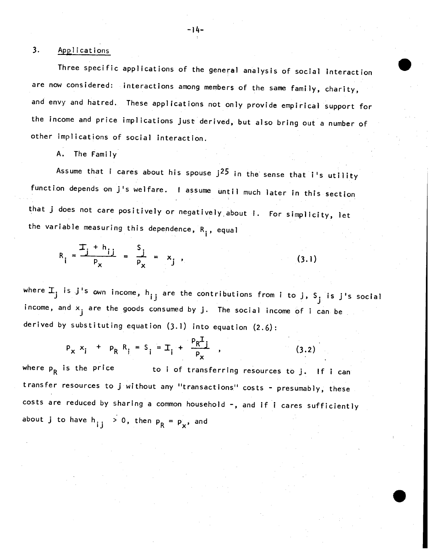### 3. App)ications

Three specific applications of the general analysis of social Interaction are now considered: interactions among members of the same family, charity, and envy and hatred. These applications not only provide empirical support for the income and price implications just derived, but also bring out a number of other implications of social interaction.

-14-

A. The Family

Assume that i cares about his spouse  $j^{25}$  in the sense that i's utility function depends on j's welfare. I assume until much later in this section that j does not care positively or negatively about I. For simplicity, let the variable measuring this dependence,  $R_i$ , equal

$$
R_{i} = \frac{T_{j} + h_{i,j}}{P_{x}} = \frac{S_{j}}{P_{x}} = x_{j} \tag{3.1}
$$

where  $I_j$  is j's own income,  $h_{ij}$  are the contributions from i to j, S<sub>j</sub> is j's social income, and  $x_j$  are the goods consumed by j. The social income of i can be derived by substituting equation (3.1) into equation (2.6):

$$
p_x x_i + p_R R_i = S_i = I_i + \frac{p_R I_j}{p_x}
$$
 (3.2)

where  $p_R$  is the price to i of transferring resources to j. If i can transfer resources to j without any "transactions" costs — presumably, these costs are reduced by sharing a common household -, and if i cares sufficiently about j to have h<sub>i</sub> > 0, then  $p_R = p_x$ , and

.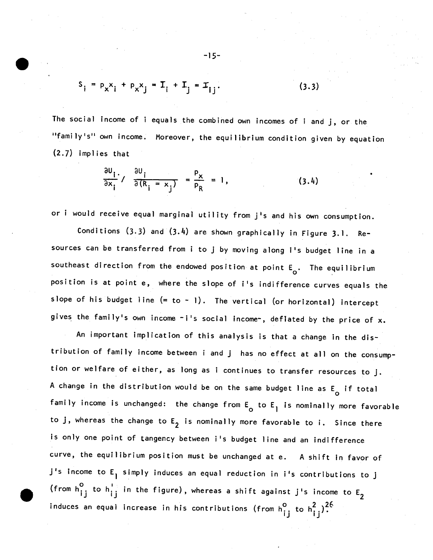$$
S_{i} = p_{x}x_{i} + p_{x}x_{j} = I_{i} + I_{j} = I_{1j}.
$$
 (3.3)

The social income of i equals the combined own incomes of i and j, or the "family's" own income. Moreover, the equilibrium condition given by equation (2.7) implies that

$$
\frac{\partial U_i}{\partial x_i} / \frac{\partial U_i}{\partial (R_i = x_j)} = \frac{P_x}{P_R} = 1, \qquad (3.4)
$$

or *i* would receive equal marginal utility from j's and his own consumption.

Conditions  $(3.3)$  and  $(3.4)$  are shown graphically in Figure 3.1. Resources can be transferred from i to j by moving along i's budget line in a southeast direction from the endowed position at point  $E_{0}$ . The equilibrium position is at point e, where the slope of i's indifference curves equals the slope of his budget line  $(= to - 1)$ . The vertical  $(or horizontal)$  intercept gives the family's own income  $-i$ 's social income-, deflated by the price of x.

An important implication of this analysis is that a change in the distribution of family income between i and j has no effect at all on the consumption or welfare of either, as long as i continues to transfer resources to j. A change in the distribution would be on the same budget line as  $E_{\text{o}}$  if total family income is unchanged: the change from  $E_0$  to  $E_1$  is nominally more favorable to j, whereas the change to  $E_2$  is nominally more favorable to i. Since there is only one point of tangency between i's budget line and an indifference curve, the equilibrium position must be unchanged at e. A shift in favor of  $j$ 's income to  $E_1$  simply induces an equal reduction in i's contributions to  $j$ (from  $h_{ij}$  to  $h_{ij}$  in the figure), whereas a shift against j's income to  $E_2$ <br>induces an equal increase in the sectority of  $(2, 2)$ induces an equal increase in his contributions (from  $h_{i,j}^O$  to  $h_{i,j}^2$ ).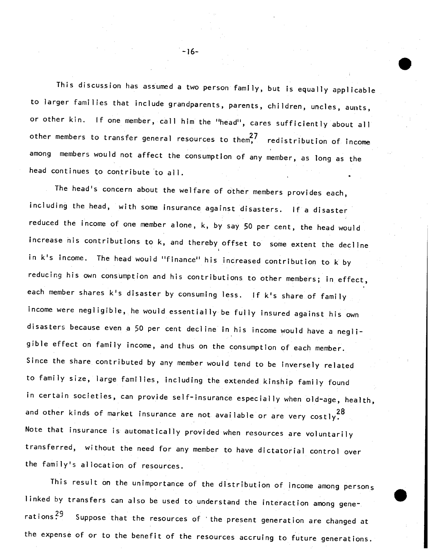This discussion has assumed a two person family, but is equally applicable to larger families that include grandparents, parents, children, uncles, aunts, or other kin. If one member, call him the "head", cares sufficiently about all other members to transfer general resources to them,<sup>27</sup> redistribution of income among members would not affect the consumption of any member, as long as the head continues to contribute to all.

The head's concern about the welfare of other members provides each, including the head, with some insurance against disasters, If a disaster reduced the income of one member alone, k, by say 50 per cent, the head would increase his contributions to k, and thereby offset to some extent the decline in k's income. The head would "finance" his increased contribution to k by reducing his own consumption and his contributions to other members; in effect, each member shares k's disaster by consuming less. If k's share of family income were negligible, he would essentially be fully insured against his own disasters because even a 50 per cent decline in his income would have a negligible effect on family income, and thus on the consumption of each member. Since the share contributed by any member would tend to be inversely related to family size, large families, including the extended kinship family found in certain societies, can provide self-insurance especially when old-age, health, and other kinds of market insurance are not available or are very costly.  $28$ Note that insurance is automatically provided when resources are voluntarily transferred, without the need for any member to have dictatorial control over the family's allocation of resources.

This result on the unimportance of the distribution of income among persons linked by transfers can also be used to understand the interaction among generations?9 Suppose that the resources of the present generation are changed at the expense of or to the benefit of the resources accruing to future generations.

-16-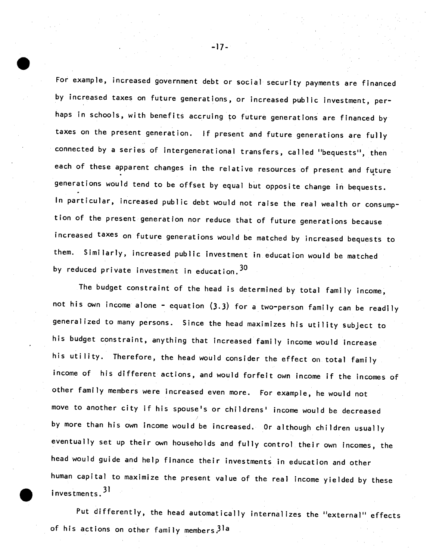For example, increased government debt or social security payments are financed by increased taxes on future generations, or increased public investment, perhaps in schools, with benefits accruing to future generations are financed by taxes on the present generation. If present and future generations are fully connected by a series of intergenerational transfers, called "bequests", then each of these apparent changes in the relative resources of present and future generations would tend to be offset by equal but opposite change in bequests. In particular, increased public debt would not raise the real wealth or consumption of the present generation nor reduce that of future generations because increased taxes on future generations would be matched by increased bequests to them. Similarly, increased public investment in education would be matched by reduced private investment in education. 30

The budget constraint of the head is determined by total family income, not his own income alone - equation (3.3) for a two-person family can be readily generalized to many persons. Since the head maximizes his utility subject to his budget constraint, anything that increased family income would increase his utility. Therefore, the head would consider the effect on total family income of his different actions, and would forfeit own income if the incomes of other family members were increased even more. For example, he would not move to another city if his spouse's or childrens' income would be decreased by more than his own income would be increased. Or although children usually eventually set up their own households and fully control their own incomes, the head would guide and help finance their investments in education and other human capital to maximize the present value of the real income yielded by these investments.<sup>31</sup>

Put differently, the head automatically internalizes the "external" effects of his actions on other family members.<sup>31a</sup>

—17-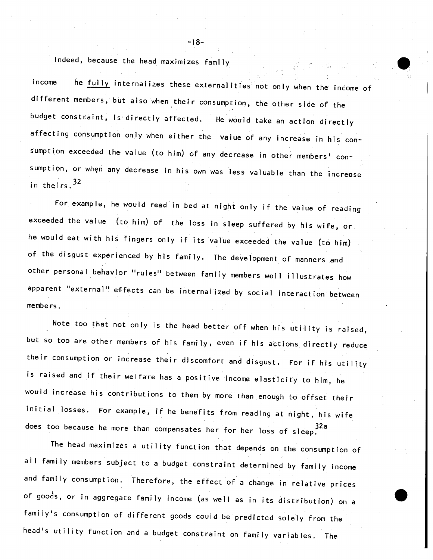Indeed, because the head maximizes family

income be fully internalizes these externalities not only when the income of different members, but also when their consumption, the other side of the budget constraint, is directly affected. He would take an action directly affecting consumption only when either the value of any increase in his consumption exceeded the value (to him) of any decrease in other members' consumption, or whçn any decrease in his own was less valuable than the increase in theirs.  $32$ 

For example, he would read in bed at night only if the value of reading exceeded the value (to him) of the loss in sleep suffered by his wife, or he would eat with his fingers only if its value exceeded the value (to him) of the disgust experienced by his family. The development of manners and other personal behavior "rules" between family members well illustrates how apparent "external" effects can be internal ized by social interaction between members.

Note too that not only is the head better off when his utility is raised, but so too are other members of his family, even if his actions directly reduce their consumption or increase their discomfort and disgust. For if his utility is raised and if their welfare has a positive income elasticity to him, he would increase his contributions to them by more than enough to offset their initial losses. For example, if he benefits from reading at night, his wife does too because he more than compensates her for her loss of sleep. 32a

The head maximizes a utility function that depends on the consumption of all family members subject to a budget constraint determined by family income and family consumption. Therefore, the effect of a change in relative prices of gooàs, or in aggregate family income (as well as in its distribution) on <sup>a</sup> fami ly's consumption of different goods could be predicted solely from the head's utility function and a budget constraint on family variables. The

-18-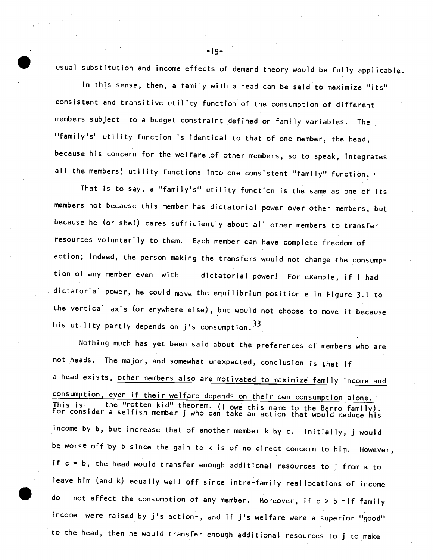usual substitution and income effects of demand theory would be fully applicable.

In this sense, then, a family with a head can be said to maximize "its" consistent and transitive utility function of the consumption of different members subject to a budget constraint defined on family variables. The "family's" utility function is Identical to that of one member, the head, because his concern for the welfare of other members, so to speak, integrates all the members! utility functions into one consistent "family" function. .

That is to say, a "family's" utility function is the same as one of its members not because this member has dictatorial power over other members, but because he (or she!) cares sufficiently about all other members to transfer resources voluntarily to them. Each member can have complete freedom of action; indeed, the person making the transfers would not change the consumption of any member even with dictatorial power! For example, if i had dictatorial power, he could move the equilibrium position e in Figure 3.1 to the vertical axis (or anywhere else), but would not choose to move it because his utility partly depends on j's consumption.<sup>33</sup>

Nothing much has yet been said about the preferences of members who are not heads. The major, and somewhat unexpected, conclusion is that if a head exists, other members also are motivated to maximize family income and consumption, even if their welfare depends on their own consumption alone. This is the "rotten kid" theorem. (I owe this name to the Barro family).<br>For consider a selfish member j who can take an action that would reduce his income by b, but increase that of another member k by c. Initially, j would be worse off by b since the gain to k is of no direct concern to him. However, if  $c = b$ , the head would transfer enough additional resources to j from  $k$  to leave him (and k) equally well off since intra-family reallocations of income<br>do not affect the consumption of any member. Moreover, if c > b -if family income were raised by j's action-, and if j's welfare were a superior "good" to the head, then he would transfer enough additional resources to j to make

-19-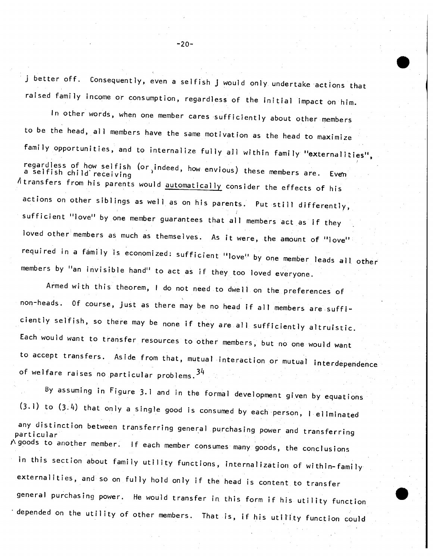j better off. Consequently, even a selfish j would only, undertake actions that raised family income or consumption, regardless of the initial impact on him.

 $\bullet$   $\vdash$ 

In other words, when one member cares sufficiently about other members to be the head, all members have the same motivation as the head to maximize family opportunities, and to internalize fully all within family "externalities", regardless of how selfish (or indeed, how envious) these members are. Even<br>a selfish child receiving  $\hbar$  transfers from his parents would  $\frac{automatically}{equation}$  consider the effects of his actions on other siblings as well as on his parents. Put still differently, sufficient "love" by one member guarantees that all members act as if they loved other members as much as themselves. As it were, the amount of "love" required in a family is economized: sufficient "love" by one member leads all other members by "an invisible hand" to act as if they too loved everyone.

Armed with this theorem, I do not need to dwell on the preferences of non-heads. Of course, just as there may be no head if all members are sufficiently selfish, so there may be none if they are all sufficiently altruistic. Each would want to transfer resources to other members, but no one would want to accept transfers. Aside from that, mutual interaction or mutual interdependence of welfare raises no particular problems.  $34$ 

By assuming in Figure 3.1 and in the formal development given by equations (3.1) to (3.4) that only a single good is consumed by each person, Ieliminated any distinction between transferring general purchasing power and transferring<br>particular  $\wedge$  goods to another member. If each member consumes many goods, the conclusions in this section about family utility functions, internalization of within-family externalities, and so on fully hold only if the head is content to transfer general purchasing power. He would transfer in this form if his utility function depended on the utility of other members. That is, if his utility function could

-20-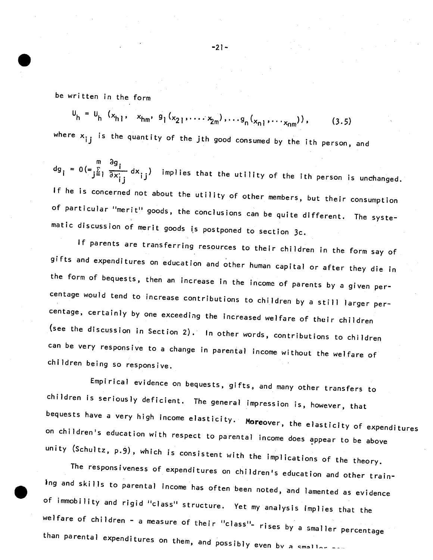be written in the form

 $U_h = U_h$  ( $x_{h1}$ ,  $x_{hm}$ ,  $g_1(x_{21},...,x_{2m}),...,g_n(x_{n1},...,x_{nm}))$ , (3.5) where  $x_{i,j}$  is the quantity of the jth good consumed by the ith person, and

m ag.  $dg_i = 0 = \frac{1}{\partial x_i} \frac{1}{\partial x_j} dx_i$  implies that the utility of the ith person is unchanged. If he is concerned not about the utility of other members, but their consumption of particular "merit" goods, the conclusions can be quite different. The systematic discussion of merit goods is postponed to section 3c.

If parents are transferring resources to their children in the form say of gifts and expenditures on education and other human capital or after they die in the form of bequests, then an increase in the income of parents by a given percentage would tend to increase contributions to children by a still larger percentage, certainly by one exceeding the increased welfare of their children (see the discussion in Section 2). In other words, contributions to children can be very responsive to a change in parental income without the welfare of children being so responsive.

Empirical evidence on bequests, gifts, and many other transfers to children is seriously deficient. The general impression is, however, that bequests have a very high income elasticity. Moreover, the elasticity of expenditures<br>on children's education with respect to parental income does appear to be above unity (Schultz, p.9), which is consistent with the implications of the theory.

The responsiveness of expenditures on children's education and other train- Ing and skills to parental income has often been noted, and lamented as evidence of immobility and rigid "class" structure. Yet my analysis implies that the welfare of children - a measure of their "class"- rises by a smaller percentage than parental expenditures on them, and possibly even by a smaller este

-21- .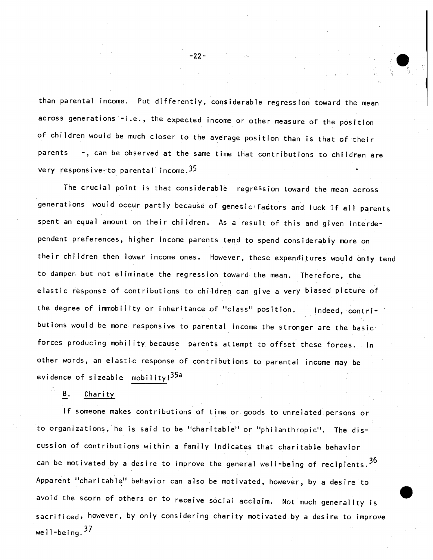than parental income. Put differently, considerable regression toward the mean across generations -i.e., the expected income or other measure of the position of children would be much closer to the average position than is that of their parents -, can be observed at the same time that contributions to children are very responsive, to parental income.35

The crucial point is that considerable regression toward the mean across generations would occur partly because of genetic factors and luck if all parents spent an equal amount on their children. As a result of this and given interdependent preferences, higher income parents tend to spend considerably more on their children then lower income ones. However, these expenditures would only tend to dampen but not eliminate the regression toward the mean. Therefore, the elastic response of contributions to children can give a very biased picture of the degree of immobility or inheritance of "class" position. Indeed, contributions would be more responsive to parental income the stronger are the basic forces producing mobility because parents attempt to offset these forces. In other words, an elastic response of contributions to parental income may be evidence of sizeable mobility!<sup>35a</sup>

B. Charity

If someone makes contributions of time or goods to unrelated persons or to organizations, he is said to be "charitable" or "philanthropic". The discussion of contributions within a family indicates that charitable behavior can be motivated by a desire to improve the general well-being of recipients.  $36$ Apparent "charitable" behavior can also be motivated, however, by a desire to avoid the scorn of others or to receive social acclaim. Not much generality is sacrificed, however, by only considering charity motivated by a desire to improve well-being. 37

 $-22$  fHz  $\mathbb{R}$  fHz  $\mathbb{R}$  fHz  $\mathbb{R}$  fHz  $\mathbb{R}$  fHz  $\mathbb{R}$  fHz  $\mathbb{R}$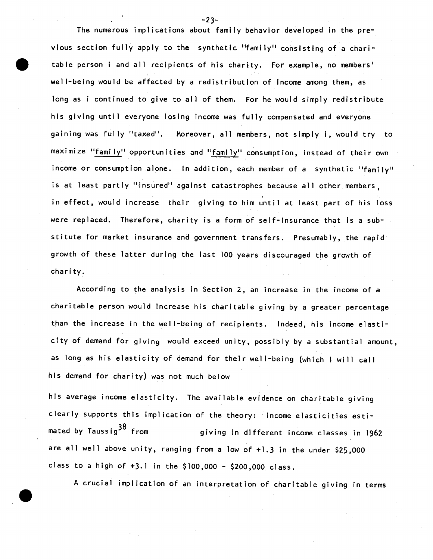The numerous implications about family behavior developed in the previous section fully apply to the synthetic "family" consisting of a charitable person i and all recipients of his charity. For example, no members' well-being would be affected by a redistribution of income among them, as long as i continued to give to all of them. For he would simply redistribute his giving until everyone losing income was fully compensated and everyone gaining was fully "taxed". Moreover, all members, not simply i, would try to maximize "family" opportunities and "family" consumption, instead of their own income or consumption alone. In addition, each member of a synthetic "family" is at least partly "insured" against catastrophes because all other members, in effect, would increase their giving to him until at least part of his loss were replaced. Therefore, charity is a form of self-insurance that is a substitute for market insurance and government transfers. Presumably, the rapid growth of these latter during the last 100 years discouraged the growth of charity.

According to the analysis in Section 2, an increase in the income of a charitable person would increase his charitable giving by a greater percentage than the increase in the well-being of recipients. Indeed, his income elasticity of demand for giving would exceed unity, possibly by a substantial amount, as long as his elasticity of demand for their well-being (which I will call his demand for charity) was not much below

his average income elasticity. The available evidence on charitable giving clearly supports this implication of the theory: income elasticities estimated by Taussig $^{38}$  from explicing in different income classes in 1962 are all well above unity, ranging from a low of +1.3 in the under \$25,000 class to a high of  $+3.1$  in the  $$100,000 - $200,000$  class.

 $\bullet$ 

A crucial implication of an interpretation of charitable giving in terms

—23—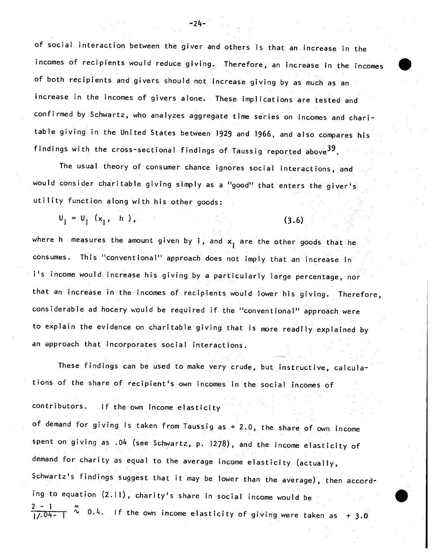of social interaction between the giver and others is that an increase in the incomes of recipients would reduce giving. Therefore, an increase in the incomes of both recipients and givers should not increase giving by as much as an increase in the incomes of givers alone. These implications are tested and confirmed by Schwartz, who analyzes aggregate time series on incomes and charitable giving in the United States between 1929 and 1966, and also compares his findings with the cross-sectional findings of Taussig reported above39.

The usual theory of consumer chance ignores social interactions, and would consider charitable giving simply as a "good" that enters the giver's utility function along with his other goods:

 $U_i = U_i$  (x<sub>i</sub>, h), (3.6)

where h measures the amount given by i, and  $x_1$  are the other goods that he consumes. This "conventional" approach does not imply that an increase in i's income would increase his giving by a particularly large percentage, nor that an increase in the incomes of recipients would lower his giving. Therefore, considerable ad hocery would be required if the "conventional" approach were to explain the evidence on charitable giving that is more readily explained by an approach that incorporates social interactions

These findings can be used to make very crude, but instructive, calculations of the share of recipient's own incomes in the social incomes of

contributors. If the own income elasticity

of demand for giving is taken from Taussig as + 2.0, the share of own income spent on giving as .04 (see Schwartz, p. 1278), and the income elasticity of demand for charity as equal to the average income elasticity (actually, Schwartz's findings suggest that it may be lower than the average), then according to equation (2.11), charity's share in social income would be<br> $\frac{2-1}{1004-1}$   $\frac{1}{2}$  0.4. If the own income elasticity of giving were ta  $0.4.$  If the own income elasticity of giving were taken as  $+3.0$ 

 $-24-$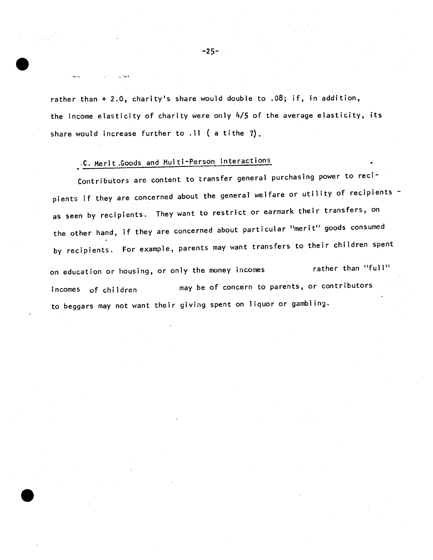rather than + 2.0, charity's share would double to .08; if, in addition, the income elasticity of charity were only  $4/5$  of the average elasticity, its share would increase further to .11 ( a tithe ?).

# -C. Merit.GoodS and Multi—Person Interactions

 $\bullet$  such a set  $\bullet$ 

Contributors are content to transfer general purchasing power to recipients if they are concerned about the general welfare or utility of recipients – as seen by recipients. They want to restrict or earmark their transfers, on the other hand, if they are concerned about particular "merit" goods consumed by recipients. For example, parents may want transfers to their children spent on education or housing, or only the money incomes rather than "full" incomes of children may be of concern to parents, or contributors to beggars may not want their giving spent on liquor or gambling.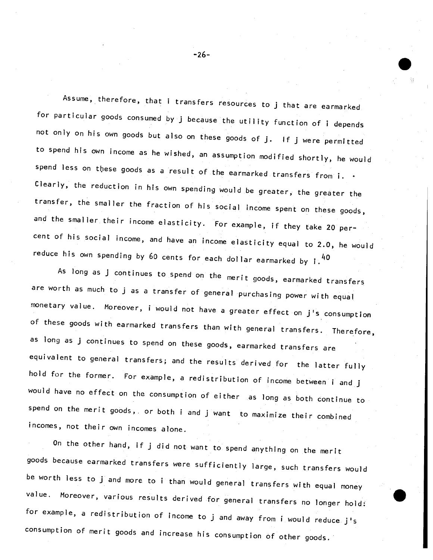Assume, therefore, that i transfers resources to j that are earmarked for particular goods consumed by j because the utility function of i depends not only on his own goods but also on these goods of j. If j were permitted to spend his own income as he wished, an assumption modified shortly, he would spend less on these goods as a result of the earmarked transfers from i. . Clearly, the reduction in his own spending would be greater, the greater the transfer, the smaller the fraction of his social income spent on these goods, and the smaller their income elasticity. For example, if they take 20 percent of his social income, and have an income elasticity equal to 2.0, he would reduce his own spending by 60 cents for each dollar earmarked by  $1.40$ 

As long as j continues to spend on the merit goods, earmarked transfers are worth as much to j as a transfer of general purchasing power with equal monetary value. Moreover, i would not have a greater effect on j's consumption of these goods with earmarked transfers than with general transfers. Therefore, as long as j continues to spend on these goods, earmarked transfers are equivalent to general transfers; and the results derived for the latter fully hold for the former. For example, a redistribution of income between i and j would have no effect on the consumption of either as long as both continue to spend on the merit goods,, or both i and j want to maximize their combined incomes, not their own incomes alone.

On the other hand, if j did not want to spend anything on the merit goods because earmarked transfers were sufficiently large, such transfers would be worth less to j and more to i than would general transfers with equal money value. Moreover, various results derived for general transfers no longer hold: for example, a redistribution of income to j and away from i would reduce j's consumption of merit goods and increase his consumption of other goods.

-26-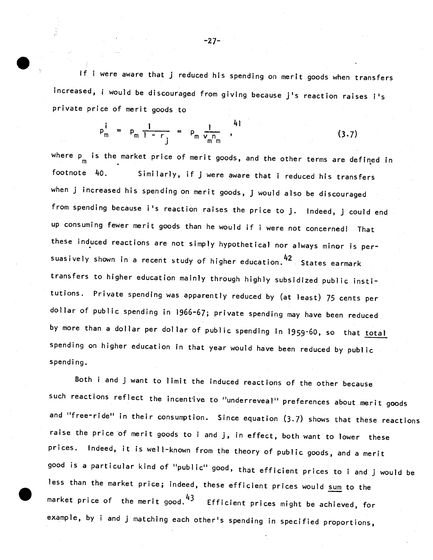If i were aware that j reduced his spending on merit goods when transfers increased, i would be discouraged from giving because j's reaction raises i's private price of merit goods to

$$
p_m^i = p_m \frac{1}{1-r_j} = p_m \frac{1}{v_m n_m}, \qquad (3.7)
$$

where  $p_n$  is the market price of merit goods, and the other terms are defined in footnote 40. Similarly, if j were aware that i reduced his transfers when j increased his spending on merit goods, j would also be discouraged from spending because i's reaction raises the price to j. Indeed, j could end up consuming fewer merit goods than he would if i were not concerned! That these induced reactions are not simply hypothetical nor always minor is persuasively shown in a recent study of higher education.<sup>42</sup> States earmark transfers to higher education mainly through highly subsidized public institutions. Private spending was apparently reduced by (at least) 75 cents per dollar of public spending in 1966-67; private spending may have been reduced by more than a dollar per dollar of public spending in 1959-60, so that total spending on higher education in that year would have been reduced by public spending.

Both i and j want to limit the induced reactions of the other because such reactions reflect the incent'ive to "underreveal" preferences about merit goods and "free-ride" in their consumption. Since equation (3.7) shows that these reactions raise the price of merit goods to i and j, in effect, both want to lower these prices. Indeed, it is well-known from the theory of public goods, and a merit good is a particular kind of "public" good, that efficient prices to i and j would be less than the market price; indeed, these efficient prices would sum to the market price of the merit good. $43$  Efficient prices might be achieved, for example, by i and j matching each other's spending in specified proportions,

-27-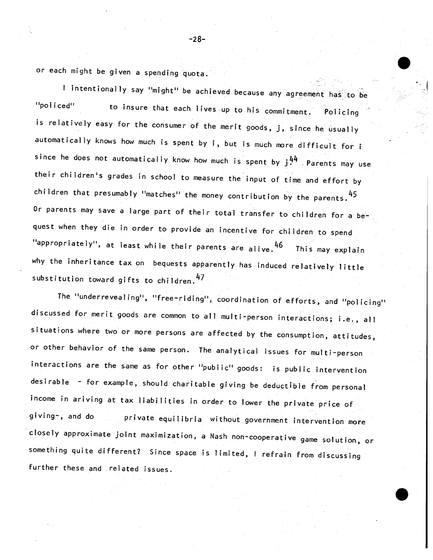or each might be given a spending quota.

I intentionally say "might" be achieved because any agreement has to be "policed" to insure that each lives up to his commitment. Policing is relatively easy for the consumer of the merit goods, j, since he usually automatically knows how much is spent by i, but is much more difficult for i since he does not automatically know how much is spent by  $j^{\frac{h}{4}}$  Parents may use their children's grades in school to measure the input of time and effort by children that presumably "matches" the money contribution by the parents.<sup>45</sup> Or parents may save a large part of their total transfer to children for a bequest when they die in order to provide an incentive for children to spend "appropriately", at least while their parents are alive.<sup>46</sup> This may explain why the inheritance tax on bequests apparently has induced relatively little substitution toward gifts to children.<sup>47</sup>

The "underrevealing", "free-riding", coordination of efforts, and "policing" discussed for merit goods are common to all multi-person interactions; i.e., all situations where two or more persons are affected by the consumption, attitudes, or other behavior of the same person. The analytical issues for multi-person interactions are the same as for other "public" goods: is public intervention desirable - for example, should charitable giving be deductible from personal income in ariving at tax liabilities in order to lower the private price of giving—, and do private equilibria without government intervention more closely approximate joint maximization, a Nash non-cooperative game solution, or something quite different? Since space is limited, I refrain from discussing further these and related issues.

 $\bullet$ 

.

-28-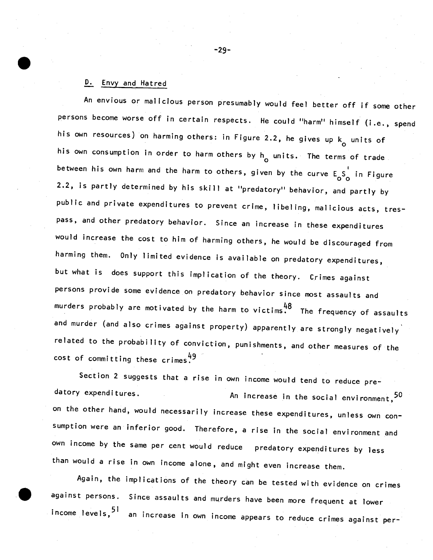### D. Envy and Hatred

 $\bullet$  such that  $\bullet$ 

An envious or malicious person presumably would feel better off if some other persons become worse off in certain respects. He could "harm" himself (i.e., spend his own resources) on harming others: in Figure 2.2, he gives up  $k_{\text{o}}$  units of his own consumption in order to harm others by  $h_{\overline{O}}$  units. The terms of trade between his own harm and the harm to others, given by the curve  $E_0S_0$  in Figure 2.2, is partly determined by his skill at "predatory" behavior, and partly by public and private expenditures to prevent crime, libeling, malicious acts, trespass, and other predatory behavior. Since an increase in these expenditures would increase the cost to him of harming others, he would be discouraged from harming them. Only limited evidence is available on predatory expenditures, but what is does support this implication of the theory. Crimes against persons provide some evidence on predatory behavior since most assaults and murders probably are motivated by the harm to victims. The frequency of assaults and murder (and also crimes against property) apparently are strongly negatively related to the probability of conviction, punishments, and other measures of the cost of committing these crimes.<sup>49</sup>

Section 2 suggests that a rise in own income would tend to reduce pre-<br>datory expenditures. An increase in the social environment,  $50$ on the other hand, would necessarily increase these expenditures, unless own consumption were an inferior good. Therefore, a rise in the social environment and own income by the same per cent would reduce predatory expenditures by less than would a rise in own income alone, and might even increase them.

Again, the implications of the theory can be tested with evidence on crimes against persons. Since assaults and murders have been more frequent at lower income levels,  $\overline{51}$  an increase in own income appears to reduce crimes against per-

-29-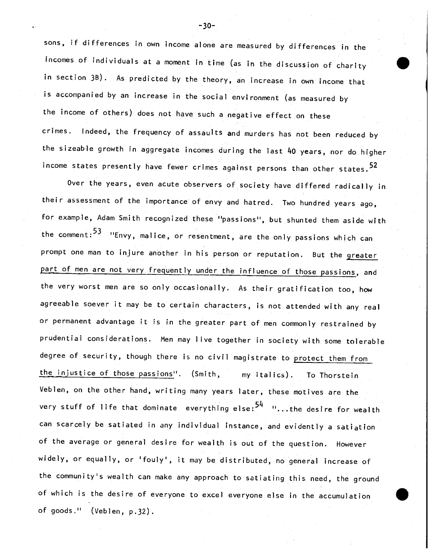sons, if differences in own income alone are measured by differences in the incomes of individuals at a moment in time (as in the discussion of charity in section 3B). As predicted by the theory, an increase in own income that is accompanied by an increase in the social environment (as measured by the income of others) does not have such a negative effect on these crimes. Indeed, the frequency of assaults and murders has not been reduced by the sizeable growth in aggregate incomes during the last 40 years, nor do higher income states presently have fewer crimes against persons than other states.<sup>52</sup>

Over the years, even acute observers of society have differed radically in their assessment of the importance of envy and hatred. Two hundred years ago, for example, Adam Smith recognized these "passions", but shunted them aside with the comment: $53$  "Envy, malice, or resentment, are the only passions which can prompt one man to injure another in his person or reputation. But the greater part of men are not very frequently under the influence of those passions, and the very worst men are so only occasionally. As their gratification too, how agreeable soever it may be to certain characters, is not attended with any real or permanent advantage it is in the greater part of men commonly restrained by prudential considerations. Men may live together in society with some tolerable degree of security, though there is no civil magistrate to protect them from the injustice of those passions". (Smith, my italics). To Thorstein Veblen, on the other hand, writing many years later, these motives are the very stuff of life that dominate everything else: $54$  "...the desire for wealth can scarcely be satiated in any individual instance, and evidently a satiation of the average or general desire for wealth is out of the question. However widely, or equally, or 'fouly', it may be distributed, no general increase of the community's wealth can make any approach to satiating this need, the ground of which is the desire of everyone to excel everyone else in the accumulation of goods." (Veblen, p.32).

-30-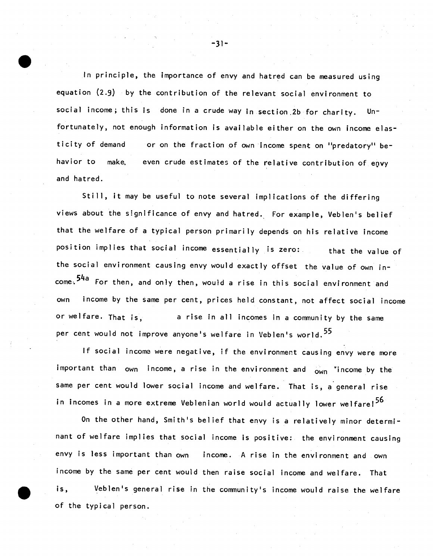. In principle, the importance of envy and hatred can be measured using equation (2.9) by the contribution of the relevant social environment to social income; this is done in a crude way in section 2b for charity. Unfortunately, not enough information is available either on the own income elasticity of demand or on the fraction of own Income spent on "predatory" behavior to make, even crude estimates of the relative contribution of envy and hatred.

Still, it may be useful to note several implications of the differing views about the significance of envy and hatred. For example, Veblen's belief that the welfare of a typical person primarily depends on his relative income position implies that social income essentially is zero: that the value of the social environment causing envy would exactly offset the value of own in- $\text{cone}$ ,  $54$ <sup>a</sup> For then, and only then, would a rise in this social environment and own income by the same per cent, prices held constant, not affect social income or welfare. That is, a rise in all incomes in a community by the same per cent would not improve anyone's welfare in Veblen's world.<sup>55</sup>

If social income were negative, if the environment causing envy were more important than  $\alpha$ <sub>wn</sub> income, a rise in the environment and  $\alpha$ <sub>wn</sub> 'income by the same per cent would lower social income and welfare. That is, a general rise in incomes in a more extreme Veblenian world would actually lower welfare!  $56$ 

On the other hand, Smith's belief that envy is a relatively minor determinant of welfare implies that social income is positive: the environment causing envy is less important than own income. A rise in the environment and own income by the same per cent would then raise social income and welfare. That is, Veblen's general rise in the community's income would raise the welfare of the typical person.

—31-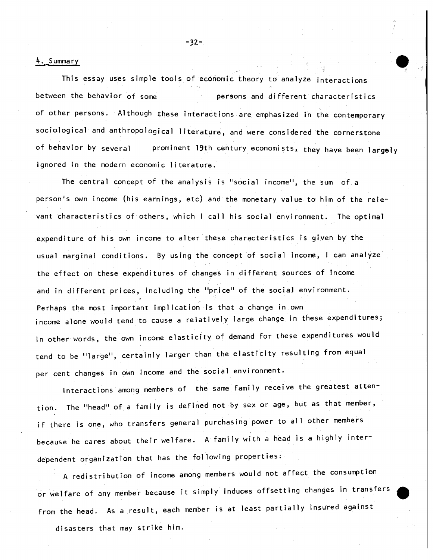#### $4.$  Summary

This essay uses simple tools of economic theory to analyze interactions between the behavior of some **persons** and different characteristics of other persons. Although these interactions are emphasized ih the contemporary sociological and anthropological literature, and were considered the cornerstone of behavior by several prominent 19th century economists, they have been largely ignored in the modern economic literature.

The central concept of the analysis is "social income", the sum of a person's own income (his earnings, etc) and the monetary value to him of the relevant characteristics of others, which I call his social environment. The optimal expenditure of his own income to alter these characteristics is given by the usual marginal conditions. By using the concept of social income, I can analyze the effect on these expenditures of changes in different sources of income and in different prices, including the "price" of the social environment. Perhaps the most important implication, is that a change in own income alone would tend to cause a relatively large change in these expenditures; in other words, the own income elasticity of demand for these expenditures would tend to be "large", certainly larger than the elasticity resulting from equal per cent changes in own income and the social environment.

Interactions among members of the same family receive the greatest attention: The "head" of a family is defined not by sex or age, but as that member, if there is one, who transfers general purchasing power to all other members because he cares about their welfare. A family with a head is a highly interdependent organization that has the following properties:

A redistribution of income among members would not affect the consumption or welfare of any member because it simply induces offsetting changes in transfers from the head. As a result, each member is at least partially insured against

disasters that may strike him.

-32-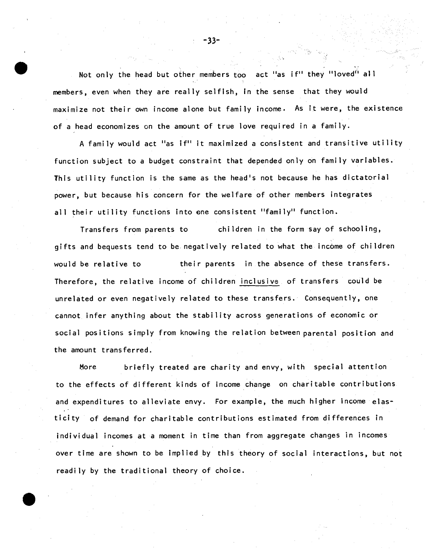Not only the head but other members too act "as if" they "loved" all members, even when they are really selfish, in the sense that they would maximize not their own income alone but family income. As it were, the existence of a head economizes on the amount of true love required in a family.

A family would act "as if" it maximized a consistent and transitive utility function subject to a budget constraint that depended only on family variables. This utility function is the same as the head's not because he has dictatorial power, but because his concern for the welfare of other members integrates all their utility functions into one consistent "family" function.

Transfers from parents to children in the form say of schooling, gifts and bequests tend to be negatively related to what the income of children would be relative to their parents in the absence of these transfers. Therefore, the relative income of children inclusive of transfers could be unrelated or even negatively related to these transfers. Consequently, one cannot infer anything about the stability across generations of economic or social positions simply from knowing the relation between parental position and the amount transferred.

readily by the traditi More briefly treated are charity and envy, with special attention to the effects of different kinds of income change on charitable contributions and expenditures to alleviate envy. For example, the much higher income elasticity of demand for charitable contributions estimated from differences in individual incomes at a moment in time than from aggregate changes in incomes over time are shown to be implied by this theory of social interactions, but not readily by the traditional theory of choice.

-33-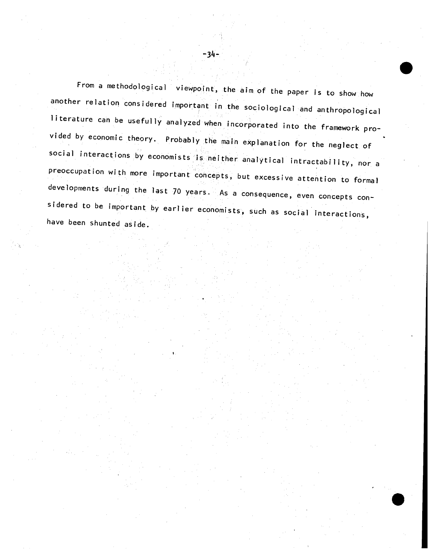From a methodological viewpoint, the aim of the paper is to show how another relation considered important in the sociological and anthropological literature can be usefully analyzed when Incorporated into the framework provided by economic theory. Probably the main explanation for the neglect of social interactions by economists is neither analytical intractability, nor a preoccupation with more Important concepts, but excessive attention to formal developments during the last 70 years. As a consequence, even, concepts considered to be important by earlier economists, such as social interactions, have been shunted aside.

 $-34-$ 

.

.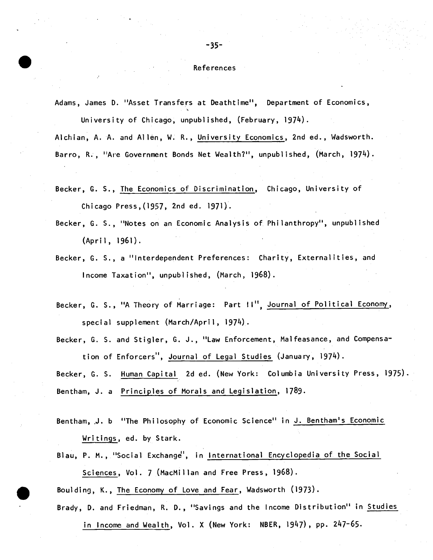#### References

Adams, James D. "Asset Transfers at Deathtime", Department of Economics,

University of Chicago, unpublished, (February, 1974).

Alchian, A. A. and Allen, W. R., University Economics, 2nd ed., Wadsworth. Barro, R., "Are Government Bonds Net Wealth?", unpublished, (March, 1974).

Becker, G. S., The Economics of Discrimination, Chicago, University of Chicago Press,(l957, 2nd ed. 1971).

Becker, G. S., "Notes on an Economic Analysis of Philanthropy", unpublished (April, 1961).

Becker, G. S., a "Interdependent Preferences: Charity, Externalities, and Income Taxation", unpublished, (March, 1968).

Becker, G. S., "A Theory of Marriage: Part H", Journal of Political Economy, special supplement (March/April, 1974).

Becker, G. S. and Stigler, G. J., "Law Enforcement, Malfeasance, and Compensation of Enforcers", Journal of Legal Studies (January, 1974).

Becker, G. S. Human Capital 2d ed. (New York: Columbia University Press, 1975). Bentham, J. a Principles of Morals and Legislation, 1789.

Bentham, .J. b "The Philosophy of Economic Science" in J. Bentham's Economic Writings, ed. by Stark.

Blau, P. M., "Social Exchangd', in International Encyclopedia of the Social

Boulding, K., The Economy of Love and Fear, Wadsworth (1973).

Sciences, Vol. 7 (MacMillan and Free Press, 1968).

Brady, D. and Friedman, R. D., "Savings and the Income Distribution" in Studies

in Income and Wealth, Vol. X (New York: NBER, 1947), pp. 247-65.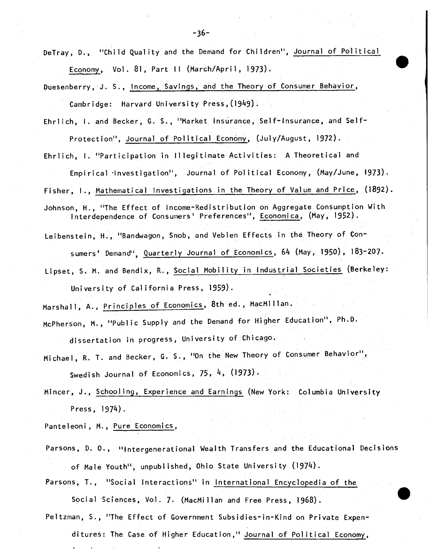DeTray, D., "Child Quality and the Demand for Children", Journal of Political Economy, Vol. 81, Part II (March/April, 1973).

Duesenberry, J. S., Income, Savings, and the Theory of Consumer Behavior, Cambridge: Harvard University Press,(l949).

Ehrlich, I. and Becker, G. S., "Market Insurance, Self-Insurance, and Self— Protection", Journal of Political Economy, (July/August, 1972).

Ehrlich, I. "Participation in Illegitimate Activities: A Theoretical and Empirical lnvestigation", Journal of Political Economy, (May/June, 1973).

Fisher, I., Mathematical Investigations in the Theory of Value and Price, (1892).

Johnson, H., "The Effect of Income-Redistribution on Aggregate Consumption With Interdependence of Consumers' Preferences", Economica, (May, 1952).

Leibenstein, H., "Bandwagon, Snob, and Veblen Effects in the Theory of Consumers' Demand'', Quarterly Journal of Economics, 64 (May, 1950), 183-207. Lipset, S. M. and Bendix, R., Social Mobility in Industrial Societies (Berkeley:

University of California Press, 1959).

Marshall, A., Principles of Economics, 8th ed., MacMillan.

McPherson, M., "Public Supply and the Demand for Higher Education", Ph.D.

dissertation in progress, University of Chicago

- Michael, R. T. and Becker, G. S., "On the New Theory of Consumer Behavior", Swedish Journal of Economics, 75, 4, (1973).
- Mincer, J., Schooling, Experience and Earnings (New York: Columbia University Press, 1974).

Panteleoni, M., Pure Economics,

Parsons, D. 0., "Intergenerational Wealth Transfers and the Educational Decisions of Male Youth", unpublished, Ohio State University (1974).

Parsons, T., "Social Interactions" in International Encyclopedia of the Social Sciences, Vol. 7. (MacMillan and Free Press, 1968).

Peltzman, S., "The Effect of Government Subsidies-in-Kind on Private Expenditures: The Case of Higher Education," Journal of Political Economy,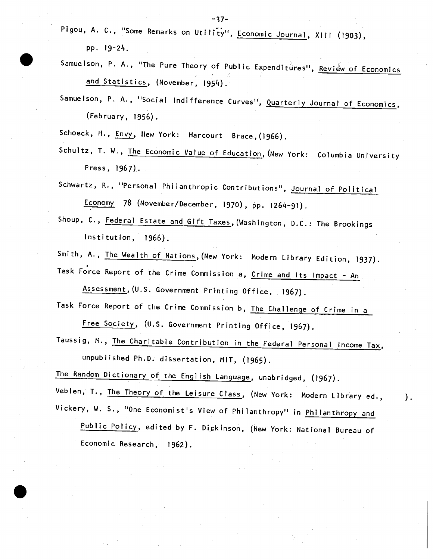- Pigou, A. C., "Some Remarks on Utility", Economic Journal, XIII (1903), pp. 19-24.
- Samuelson, P. A., "The Pure Theory of Public Expenditures", Review of Economics and Statistics, (November, 1954).
- Samuelson, P. A., "Social Indifference Curves", Quarterly Journal of Economics, (February, 1956).

Schoeck, H., Envy, New York: Harcourt Brace, (1966).

Schultz, T. W., The Economic Value of Education, (New York: Columbia University Press, 1967).

Schwartz, R., "Personal Philanthropic Contributions", Journal of Political Economy 78 (November/December, 1970), pp. 1264-91).

Shoup, C., Federal Estate and Gift Taxes, (Washington, D.C.: The Brookings Institution, 1966).

Smith, A., The Wealth of Nations,(New York: Modern Library Edition, 1937).

Task Force Report of the Crime Commission a, Crime and Its Impact - An

Assessment,(U.S. Government Printing Office, 1967).

Task Force Report of the Crime Commission b, The Challenge of Crime in a Free Society, (u.s. Government Printing Office, 1967).

Taussig, M., The Charitable Contribution in the Federal Personal Income Tax, unpublished Ph.D. dissertation, MIT, (1965).

The Random Dictionary of the English Language, unabridged, (1967).

Veblen, T., The Theory of the Leisure Class, (New York: Modern Library ed., ). Vickery, W. S., "One Economist's View of Philanthropy" in Philanthropy and

Public Policy, edited by F. Dickinson, (New York: National Bureau of Economic Research, 1962).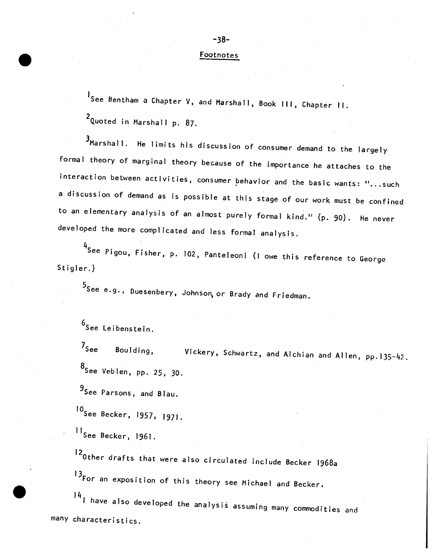Footnotes

-38-

Isee Bentham a Chapter V, and Marshall, Book III, Chapter II.

2Quoted in Marshall p. 87.

.

3Marshall. He limits his discussion of consumer demand to the largely formal theory of marginal theory because of the importance he attaches to the interaction between activities, consumer behavior and the basic wants: "...such a discussion of demand as is possible at this stage of our work must be confined to an elementary analysis of an almost purely formal kind." (p. 90). He never developed the more complicated and less formal analysis.

4See Pigou, Fisher, p. 102, Pantejeoni (I owe this reference to George Stigler.)

5See e.g., Duesenbery, Johnson, or Brady and Friedman.

 $^6$ See Leibenstein.

7See Boulding, Vickery, Schwartz, and Alchian and Allen, pp.135-42.  $8$ See Veblen, pp. 25, 30.

9See Parsons, and Blau.

10<sub>See</sub> Becker, 1957, 1971.

11<sub>See</sub> Becker, 1961.

12<sub>0</sub>ther drafts that were also circulated include Becker 1968a 13For an exposition of this theory see Michael and Becker.

 $14$  have also developed the analysis assuming many commodities and many characteristics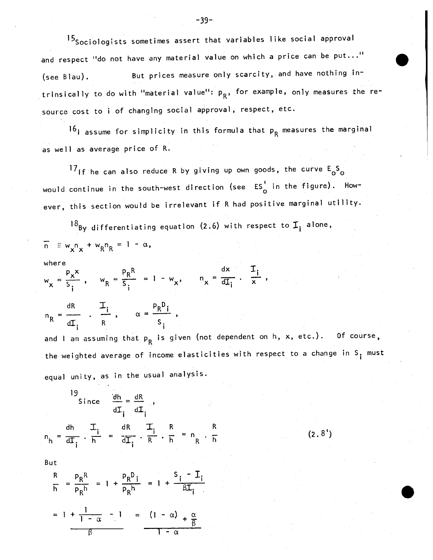15Sociologists sometimes assert that variables like social approval and respect "do not have any material value on which a price can be put..." (see Blau). But prices measure only scarcity, and have nothing intrinsically to do with "material value":  $p_R$ , for example, only measures the resource cost to i of changing social approval, respect, etc.

 $16$  assume for simplicity in this formula that  $p_R$  measures the marginal as well as average price of R.

 $17$ <sub>1f</sub> he can also reduce R by giving up own goods, the curve  $E_0S_0$ would continue in the south-west direction (see  $ES^{\dagger}_{\Omega}$  in the figure). However, this section would be irrelevant if R had positive marginal utility.

 $^{18}$ By differentiating equation (2.6) with respect to  $I_i$  alone,  $\overline{n}$  = w<sub>x</sub>n<sub>x</sub> + w<sub>R</sub>n<sub>R</sub> = 1 - a,

where

$$
w_x = \frac{p_x x}{s_i}
$$
,  $w_R = \frac{p_R R}{s_i} = 1 - w_x$ ,  $n_x = \frac{dx}{dI_i} \cdot \frac{I_i}{x}$ ,

$$
n_R = \frac{dR}{dI_i} \cdot \frac{I_i}{R}, \qquad \alpha = \frac{p_R D_i}{S_i},
$$

and I am assuming that  $\mathsf{p}_{\mathsf{p}}$  is given (not dependent on  $\mathsf{h},$   $\mathsf{x},$  etc.). Of course, the weighted average of income elasticities with respect to a change in  $\mathsf{s}_\mathsf{i}$  must equal unity, as in the usual analysis.

Since  $\frac{dh}{dt} = \frac{dR}{dt}$ ,  $dI$ ,  $dI$ ,  $\qquad \qquad$ dh I, dR I, R R  $n_h = \frac{dh}{dL_i} \cdot \frac{L_i}{h} = \frac{dR}{dL_i} \cdot \frac{L_i}{R} \cdot \frac{R}{h} = n_R \cdot \frac{R}{h}$  (2.8')

But

$$
\frac{R}{h} = \frac{p_R R}{p_R h} = 1 + \frac{p_R D_i}{p_R h} = 1 + \frac{S_i - I_i}{\beta I_i}
$$
  
= 1 +  $\frac{1}{1 - \alpha}$  - 1 = (1 - \alpha) +  $\frac{\alpha}{\beta}$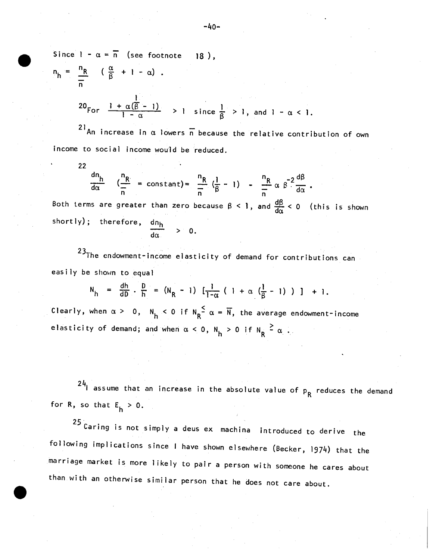Since 
$$
1 - \alpha = \overline{n}
$$
 (see footnote 18),  
\n
$$
n_h = \frac{n_R}{\overline{n}} \left( \frac{\alpha}{\beta} + 1 - \alpha \right).
$$
\n20 For  $\frac{1 + \alpha(\overline{\beta} - 1)}{1 - \alpha} > 1$  since  $\frac{1}{\beta} > 1$ , and  $1 - \alpha < 1$ .

 $21$ An increase in  $\alpha$  lowers  $\overline{n}$  because the relative contribution of own income to social income would be reduced.

$$
22
$$

$$
\frac{dn_h}{d\alpha} \quad (\frac{n_R}{n} \quad = \text{constant}) = \frac{n_R}{n} \left( \frac{1}{\beta} - 1 \right) \quad - \quad \frac{n_R}{n} \propto \beta^{-2} \frac{d\beta}{d\alpha} \; .
$$

Both terms are greater than zero because  $\beta < 1$ , and  $\frac{dB}{d\alpha} < 0$  (this is shown shortly); therefore,  $\frac{dn_h}{d\alpha}$  > 0.

23The endowment-income elasticity of demand for contributions can easily be shown to equal

$$
N_{h} = \frac{dh}{dD} \cdot \frac{D}{h} = (N_{R} - 1) [\frac{1}{1-\alpha} (1 + \alpha (\frac{1}{\beta} - 1)) ] + 1.
$$

Clearly, when  $\alpha > 0$ ,  $N_h < 0$  if  $N_R \leq \alpha = \overline{N}$ , the average endowment-income elasticity of demand; and when  $\alpha < 0$ ,  $N_h > 0$  if  $N_R \stackrel{>}{\sim} \alpha$ .

 $24$  assume that an increase in the absolute value of  $p_R$  reduces the demand for R, so that  $E_h > 0$ .

25 Caring is not simply a deus ex machina introduced to derive the following implications since I have shown elsewhere (Becker, 1974) that the marriage market is more likely to pair a person with someone he cares about than with an otherwise similar person that he does not care about.

$$
-40-
$$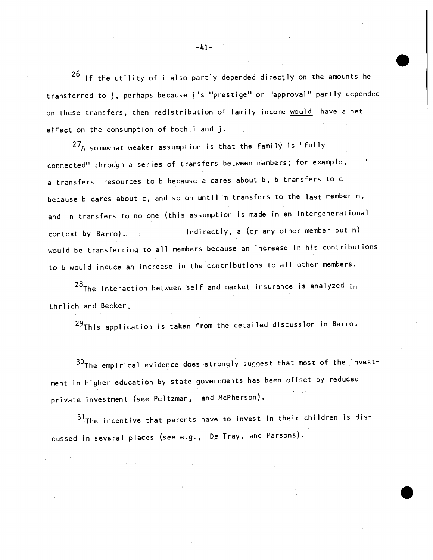$-41$  -  $$\mbox{\tt -}41$$  . <br> 26 If the utility of i also partly depended directly on the amounts he transferred to j, perhaps because i's "prestige" or "approval" partly depended on these transfers, then redistribution of family income would have a net effect on the consumption of both i and j.

27A somewhat weaker assumption is that the family is "fully connected" through a series of transfers between members; for example, a transfers resources to b because a cares about b, b transfers to c because b cares about c, and so on until m transfers to the last member n, and n transfers to no one (this assumption is made in an intergenerational context by Barro). Indirectly, a (or any other member but n) would be transferring to all members because an increase in his contributions to b would induce an increase in the contributions to all other members.

 $^{28}$ The interaction between self and market insurance is analyzed in Ehrlich and Becker.

29This application is taken from the detailed discussion in Barro.

 $^{30}\!$ The empirical evidence does strongly suggest that most of the investment in higher education by state governments has been offset by reduced private investment (see Peltzman, and McPherson).

 $31$ The incentive that parents have to invest in their children is discussed in several places (see e.g., De Tray, and Parsons).

 $\bullet$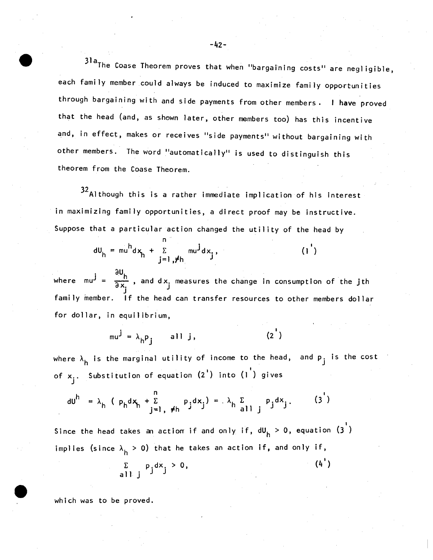-42-<br>3<sup>1a</sup>The Coase Theorem proves that when "bargaining costs" are negligible, each family member could always be induced to maximize family oppo-rtunities through bargaining with and side payments from other members. I have proved that the head (and, as shown later, other members too) has this incentive and, in effect, makes or receives "side payments" without bargaining with other members. The word "automatically" is used to distinguish this theorem from the Coase Theorem.

32Although this is a rather immediate implication of his interest in maximizing family opportunities, a direct proof may be instructive. Suppose that a particular action changed the utility of the head by

$$
dU_h = mu^h dx_h + \sum_{j=1, j \neq h}^n mu^j dx_j,
$$
 (1')

where  $mu^j = \frac{1}{2}$ , and dx. measures the change in consumption of the jth <sup>J</sup> <sup>j</sup> family member. If the head can transfer resources to other members dollar for dollar, in equilibrium,

 $mu^J = \lambda_h^p$  all j, (2)

where  $\lambda_h$  is the marginal utility of income to the head, and  $p_i$  is the cost of **x<sub>j</sub>.** Substitution of equation (2 ) into (1 ) gives

$$
dU^{h} = \lambda_{h} (p_{h}dx_{h} + \sum_{j=1, j \neq h}^{n} p_{j}dx_{j}) = \lambda_{h} \sum_{a=1}^{n} p_{j}dx_{j}.
$$
 (3')

Since the head takes an action if and only if,  $dU_h > 0$ , equation (3) implies (since  $\lambda_h > 0$ ) that he takes an action if, and only if,

$$
\sum_{\text{all } j} p_j dx_j > 0, \qquad (4')
$$

which was to be proved.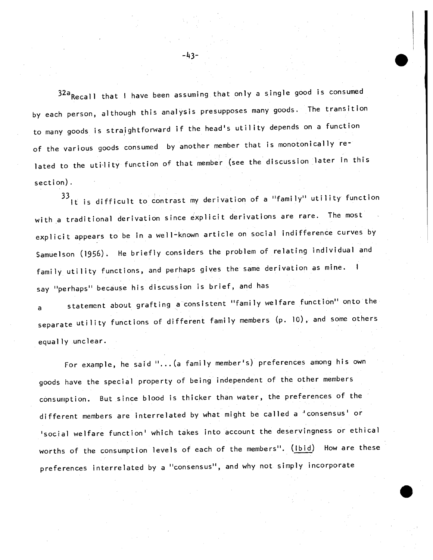$32a$ Recall that I have been assuming that only a single good is consumed by each person, although this analysis presupposes many goods. The transition to many goods is straightforward if the head's utility depends on a function of the various goods consumed by another member that is monotonically related to the utility function of that member (see the discussion later in this section).

 $\Omega$  is difficult to contrast my derivation of a "family" utility function with a traditional derivation since explicit derivations are rare. The most explicit appears to be in a well-known article on social indifference curves by Samuelson (1956). He briefly considers the problem of relating individual and family utility functions, and perhaps gives the same derivation as mine. <sup>I</sup> say "perhaps" because his discussion is brief, and has

a statement about grafting a consistent "family welfare function" onto the separate utility functions of different family members (p. 10), and some others equally unclear.

For example, he said "... (a family member's) preferences among his own goods have the special property of being independent of the other members consumption. But since blood is thicker than water, the preferences of the different members are interrelated by what might be called a 'consensus' or 'social welfare function' which takes into account the deservingness or ethical worths of the consumption levels of each of the members". (*Ibid*) How are these preferences interrelated by a "consensus", and why not simply incorporate

 $-43-$ 

**.** 

 $\bullet$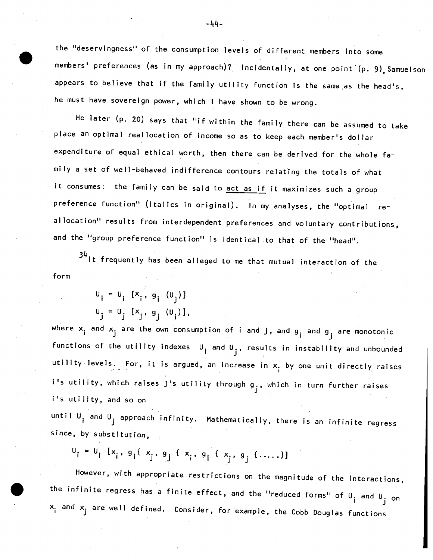the "deservingness" of<br>members' preferences (a the "deservingness" of the consumption levels of different members into some members' preferences (as in my approach)? Incidentally, at one point (p. 9), Samuelson appears to believe that if the family utility function is the same as the head's, he must have sovereign power, which I have shown to be wrong.

He later (p. 20) says that "if within the family there can be assumed to take place an optimal reallocation of Income so as to keep each member's dollar expenditure of equal ethical worth, then there can be derived for the whole family a set of well-behaved indifference contours relating the totals of what it consumes: the family can be said to <u>act as if</u> it maximizes such a group preference function" (italics in original). In my analyses, the "optimal reallocation" results from interdependent preferences and voluntary contributions, and the "group preference function" is identical to that of the "head".

 $3<sup>4</sup>$  it frequently has been alleged to me that mutual interaction of the form

> $U_i = U_i$   $[X_i, g_i](U_i)$ ]  $U_i = U_i$  [x<sub>i</sub>, g<sub>i</sub> (U<sub>i</sub>)],

where  $x_i$  and  $x_i$  are the own consumption of i and j, and  $g_i$  and  $g_i$  are monotonic functions of the utility indexes  $U_i$  and  $U_i$ , results in instability and unbounded utility levels. For, it is argued, an increase in  $x_{\mathbf{i}}$  by one unit directly raises i's utility, which raises j's utility through g<sub>j</sub>, which in turn further raises i's utility, and so on

until  $\mathsf{U}_i$  and  $\mathsf{U}_j$  approach infinity. Mathematically, there is an infinite regress since, by substitution,

 $U_i = U_i$  [x<sub>i</sub>, g<sub>i</sub> { x<sub>j</sub>, g<sub>i</sub> { x<sub>i</sub>, g<sub>i</sub> { x<sub>j</sub>, g<sub>j</sub> { .....}]

However, with appropriate restrictions on the magnitude of the interactions, the infinite regress has a finite effect, and the "reduced forms" of  $U_i$  and  $U_j$  on **x** and **x** are well defined. Consider, for example, the Cobb Douglas functions

 $-44-$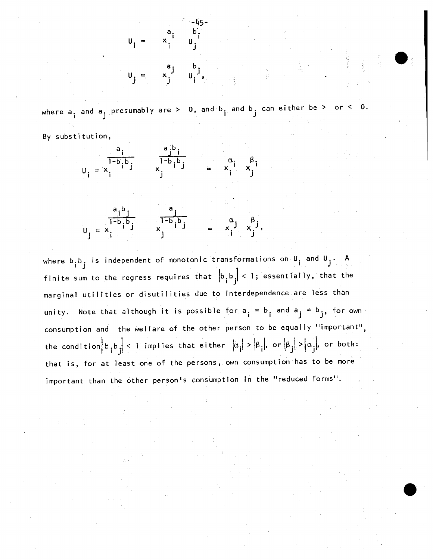$$
U_{i} = \begin{bmatrix} a_{i} & b_{i} \\ x_{i}^{2} & U_{j} \\ \vdots & \vdots & \vdots \\ a_{j}^{2} & U_{i}^{2} \end{bmatrix}
$$

where  $a_j$  and  $a_j$  presumably are > 0, and  $b_j$  and  $b_j$  can either be > or < 0.

By substitution,



where  $b_i b_j$  is independent of monotonic transformations on  $U_j$  and  $U_j$ . A finite sum to the regress requires that  $|b_1b_j| < 1$ ; essentially, that the marginal utilities or disutilities due to interdependence are less than unity. Note that although it is possible for  $a_i = b_i$  and  $a_i = b_i$ , for own consumption and the welfare of the other person to be equally "important", the condition  $b_i b_j$  < 1 implies that either  $|\alpha_i| > |\beta_i|$ , or  $|\beta_j| > |\alpha_j|$ , or both: that is, for at least one of the persons, own consumption has to be more important than the other person's consumption in the "reduced forms".

 $\bullet$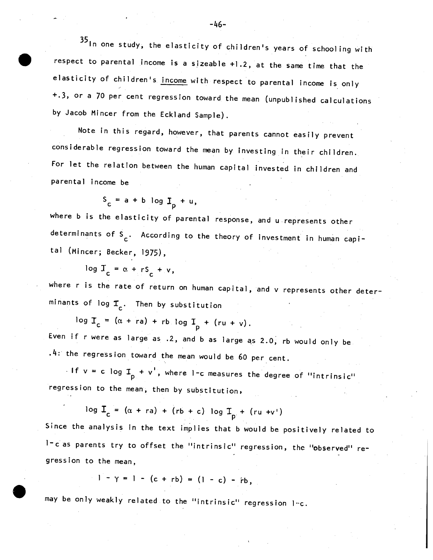351n one study, the elasticity of children's years of school ing with respect to parental income is a sizeable +1.2, at the same time that the elasticity of children's income with respect to parental income is only +.3, or a 70 per cent regression toward the mean (unpublished calculations by Jacob Mincer from the Eckland Sample).

Note in this regard, however, that parents cannot easily prevent considerable regression toward the mean by investing in their children. For let the relation between the human capital invested in children and parental income be

$$
S_c = a + b \log I_p + u,
$$

where b is the elasticity of parental response, and u represents other determinants of  $S_{c}$ . According to the theory of investment in human capital (Mincer; Becker, 1975),

log  $I_c = \alpha + rS_c + v$ ,

where r is the rate of return on human capital, and v represents other determinants of log  $I_c$ . Then by substitution

log  $I_c = (\alpha + ra) + rb \log I_p + (ru + v)$ . Even if r were as large as .2, and b as large as 2.0, rb would only be .4: the regression toward the mean would be 60 per cent.

If  $v = c$  log  $I_{p} + v'$ , where I-c measures the degree of "intrinsic" regression to the mean, then by substitution, . The contract of the contract of the contract of the contract of the contract of the contract of the contract of the contract of the contract of the contract of the contract of the contract of the contract of the contrac

log  $I_c = (\alpha + ra) + (rb + c)$  log  $I_p + (ru +v')$ 

Since the analysis in the text implies that b would be positively related to 1cas parents try to offset the "intrinsic" regression, the "observed" regression to the mean,

$$
1 - \gamma = 1 - (c + rb) = (1 - c) - rb
$$
,

may be only weakly related to the "intrinsic" regression 1-c.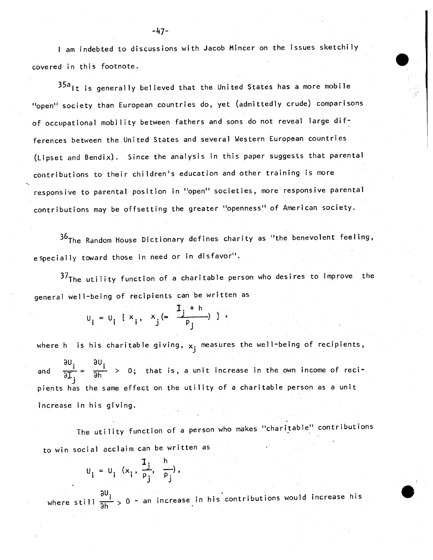I am indebted to discussions with Jacob Mincer on the issues sketchily covered in this footnote.

 $35a$  It is generally believed that the United States has a more mobile "open" society than European countries do, yet (admittedly crude) comparisons of occupational mobility between fathers and sons do not reveal large differences between the United States and several Western European countries (Upset and Bendix). Since the analysis in this paper suggests that parental contributions to their children's education and other training is more responsive to parental position in "open" societies, more responsive parental contributions may be offsetting the greater "openness" of American society.

 $^{36}$ The Random House Dictionary defines charity as "the benevolent feeling, especially toward those in need or in disfavor".

37<sub>The utility</sub> function of a charitable person who desires to improve the general well-being of recipients can be written as

> $\mathbf{I}_{\mathbf{i}}$ <sup> $\mathbf{+}$ </sup>  $\mathbf{h}_{\mathbf{i},\mathbf{j}}$   $\mathbf{I}_{\mathbf{i}}$  $U_i = U_i$  [  $x_i$ ,  $x_i$  (=  $\frac{1}{b}$  ) ]  $\frac{1}{b}$

where h is his charitable giving,  $\mathsf{x}_{\mathbf{j}}$  measures the well-being of recipients,  $\frac{\partial U}{\partial T} = \frac{\partial U}{\partial b}$  > 0; that is, a unit increase in the own income of recipients has the same effect on the utility, of a charitable person as a unit increase in his giving.

The utility function of a person who makes "charitable" contributions to win social acclaim can be written as

$$
u_j = u_j(x_j, \frac{T_j}{p_j}, \frac{h}{p_j}),
$$

 $\frac{\partial U_i}{\partial h} > 0$  - an increase in his contributions would increase his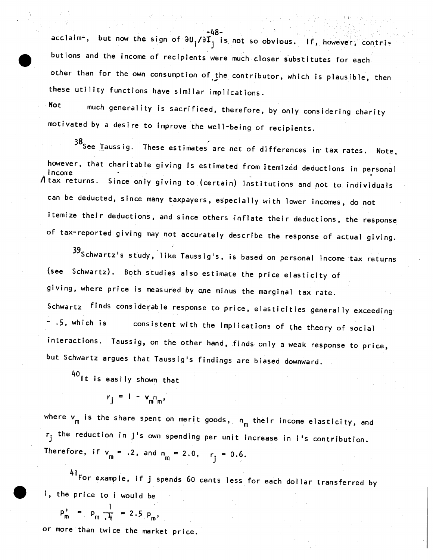acclaim-, but now the sign of  $\frac{148-}{1}$  is not so obvious. If, however, contributions and the income of recipients were much closer substitutes for each other than for the own consumption of the contributor, which is plausible, then these utility functions have similar implications.

Not much generality is sacrificed, therefore, by only considering charity motivated by a desire to improve the well-being of recipients.

 $38$ See Taussig. These estimates are net of differences in tax rates. Note, however, that charitable giving is estimated from itemized deductions in personal income<br>income - Atax returns. Since only giving to (certain) institutions and not to individuals can be deducted, since many taxpayers, especially with lower incomes, do not itemize their deductions, and since others inflate their deductions, the response of tax-reported giving may not accurately describe the response of actual giving.

39Schwartz's study, like Taussig's, is based on personal income tax returns (see Schwartz). Both studies also estimate the price elasticity of giving, where price is measured by one minus the marginal tax rate. Schwartz finds considerable response to price, elasticities generally exceeding - .5, which is consistent with the implications of the theory of social interactions. Taussig, on the other hand, finds only a weak response to price, but Schwartz argues that Taussig's findings are biased downward.

<sup>140</sup> It is easily shown that

 $r_j = 1 - v_{m \ m}$ ,

where  $v_m$  is the share spent on merit goods,  $n_m$  their income elasticity, and r the reduction in j's own spending per unit increase in i's contribution. Therefore, if  $v_{m}$  = .2, and  $n_{m}$  = 2.0,  $r_{j}$  = 0.6.

41 For example, if j spends 60 cents less for each dollar transferred by I, the price to i would be

 $p_m^{\prime} = p_m \frac{1}{4} = 2.5 p_m^{\prime}$ 

or more than twice the market price.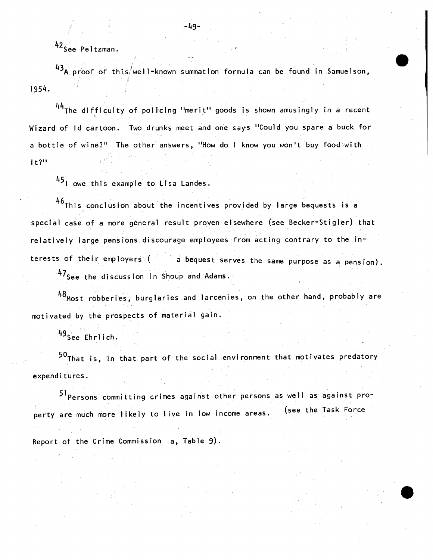# 42 See Peltzman.

 $43$ A proof of this/well-known summation formula can be found in Samuelson, 1954.

 $44$ The difficulty of policing "merit" goods is shown amusingly in a recent Wizard of Id cartoon. Two drunks meet and one says "Could you spare a buck for a bottle of wine?" The other answers, "How do I know you won't buy food with it?"

 $45$  I owe this example to Lisa Landes.

46This conclusion about the incentives provided by large bequests is a special case of a more general result proven elsewhere (see Becker-Stigler) that relatively large pensions discourage employees from acting contrary to the interests of their employers ( $\blacksquare$  a bequest serves the same purpose as a pension).

 $47$ See the discussion in Shoup and Adams.

48 Most robberies, burglaries and larcenies, on the other hand, probably are motivated by the prospects of material gain.

49 See Ehrlich.

50That is, in that part of the social environment that motivates predatory expenditures.

51Persons committing crimes against other persons as well as against property are much more likely to live in low income areas. (see the Task Force

 $\bullet$ 

Report of the Crime Commission a, Table 9).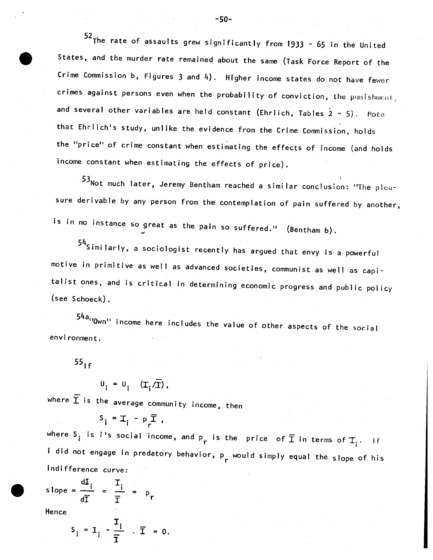$52$ The rate of assaults grew significantly from 1933 - 65 in the United States, and the murder rate remained about the same (Task Force Report of the Crime Commission b, Figures 3 and 4). Higher income states do not have fewer crimes against persons even when the probability of conviction, the punishment, and several other variables are held constant (Ehrlich, Tables  $2 - 5$ ). Mote that Ehrlich's study, unlike the evidence from the Crime Commission, holds the "price" of crime constant when estimating the effects of income (and holds income constant when estimating the effects of price).

 $53$ Not much later, Jeremy Bentham reached a similar conclusion: "The pleasure derivable by any person from the contemplation of pain suffered by another, is in no instance so great as the pain so suffered." (Bentham b).

 $54$ Similarly, a sociologist recently has argued that envy is a powerful motive in primitive as well as advanced societies, communist as well as capitalist ones, and is critical in determining economic progress and public policy (see Schoeck).

54a, Qwn" income here includes the value of other aspects of the social envi ronment.

## $55_{1f}$

$$
\mathbf{U}_{\mathbf{i}} = \mathbf{U}_{\mathbf{i}} \quad (\mathbf{I}_{\mathbf{i}}/\overline{\mathbf{I}}),
$$

where  $I$  is the average community income, then  $S_i = I_i - p_i \overline{I}$ ,

$$
S_i = I_i - p \overline{I},
$$

where S. is i's social income, and  $\rho_{_{\boldsymbol{\Gamma}}}$  is the price of  $\overline{\boldsymbol{\mathcal{I}}}$  in terms of  $\mathbf{T}, \quad \mathsf{lf}$  $I$  did not engage in predatory behavior,  $p_{\mu}$  would simply equal the slope of his indifference curve:

slope = 
$$
\frac{dI_i}{d\overline{I}}
$$
 =  $\frac{T_i}{\overline{I}}$  = p<sub>r</sub>

Hence

$$
S_i = I_i - \frac{T_i}{T}
$$
.  $\bar{T} = 0$ .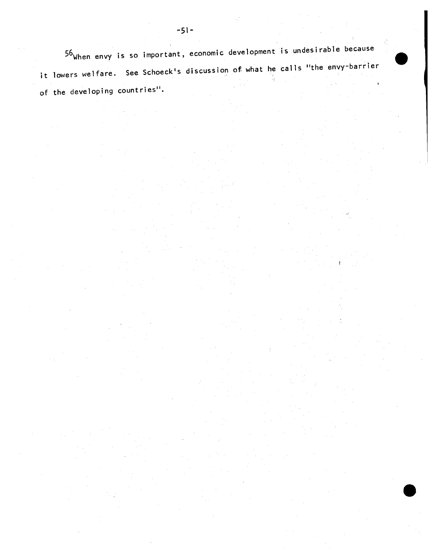$^{56}$ When envy is so important, economic development is undesirable because it lowers welfare. See Schoeck's discussion of what he calls "the envy-barrier of the developing countries".

 $\bullet$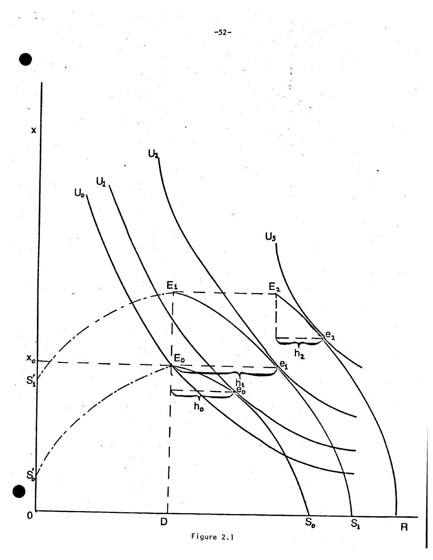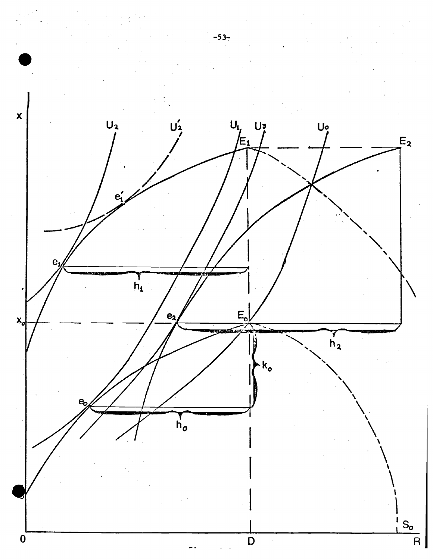